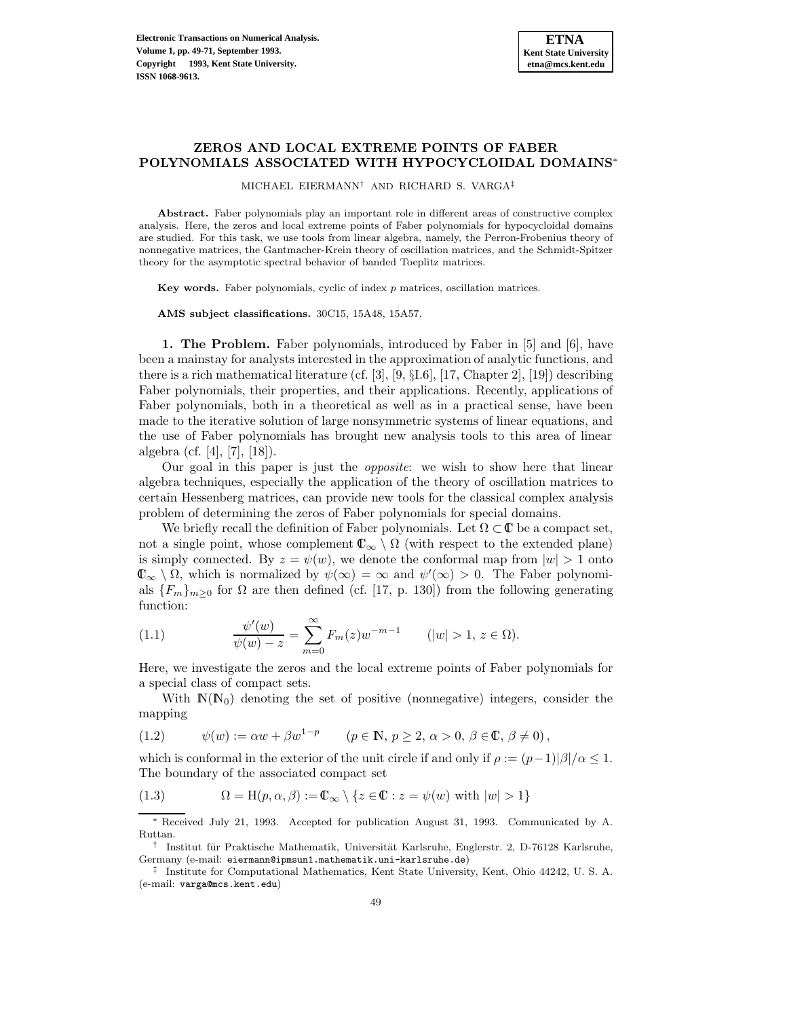# **ZEROS AND LOCAL EXTREME POINTS OF FABER POLYNOMIALS ASSOCIATED WITH HYPOCYCLOIDAL DOMAINS**<sup>∗</sup>

MICHAEL EIERMANN† AND RICHARD S. VARGA‡

**Abstract.** Faber polynomials play an important role in different areas of constructive complex analysis. Here, the zeros and local extreme points of Faber polynomials for hypocycloidal domains are studied. For this task, we use tools from linear algebra, namely, the Perron-Frobenius theory of nonnegative matrices, the Gantmacher-Krein theory of oscillation matrices, and the Schmidt-Spitzer theory for the asymptotic spectral behavior of banded Toeplitz matrices.

**Key words.** Faber polynomials, cyclic of index p matrices, oscillation matrices.

**AMS subject classifications.** 30C15, 15A48, 15A57.

**1. The Problem.** Faber polynomials, introduced by Faber in [5] and [6], have been a mainstay for analysts interested in the approximation of analytic functions, and there is a rich mathematical literature (cf. [3], [9,  $\S$ I.6], [17, Chapter 2], [19]) describing Faber polynomials, their properties, and their applications. Recently, applications of Faber polynomials, both in a theoretical as well as in a practical sense, have been made to the iterative solution of large nonsymmetric systems of linear equations, and the use of Faber polynomials has brought new analysis tools to this area of linear algebra (cf. [4], [7], [18]).

Our goal in this paper is just the opposite: we wish to show here that linear algebra techniques, especially the application of the theory of oscillation matrices to certain Hessenberg matrices, can provide new tools for the classical complex analysis problem of determining the zeros of Faber polynomials for special domains.

We briefly recall the definition of Faber polynomials. Let  $\Omega \subset \mathbb{C}$  be a compact set, not a single point, whose complement  $\mathbb{C}_{\infty} \setminus \Omega$  (with respect to the extended plane) is simply connected. By  $z = \psi(w)$ , we denote the conformal map from  $|w| > 1$  onto  $\mathbb{C}_{\infty} \setminus \Omega$ , which is normalized by  $\psi(\infty) = \infty$  and  $\psi'(\infty) > 0$ . The Faber polynomials  ${F_m}_{m>0}$  for  $\Omega$  are then defined (cf. [17, p. 130]) from the following generating function:

(1.1) 
$$
\frac{\psi'(w)}{\psi(w) - z} = \sum_{m=0}^{\infty} F_m(z) w^{-m-1} \qquad (|w| > 1, z \in \Omega).
$$

Here, we investigate the zeros and the local extreme points of Faber polynomials for a special class of compact sets.

With  $\mathbb{N}(N_0)$  denoting the set of positive (nonnegative) integers, consider the mapping

(1.2) 
$$
\psi(w) := \alpha w + \beta w^{1-p} \qquad (p \in \mathbb{N}, p \ge 2, \alpha > 0, \beta \in \mathbb{C}, \beta \ne 0),
$$

which is conformal in the exterior of the unit circle if and only if  $\rho := (p-1)|\beta|/\alpha \leq 1$ . The boundary of the associated compact set

(1.3) 
$$
\Omega = H(p, \alpha, \beta) := \mathbb{C}_{\infty} \setminus \{z \in \mathbb{C} : z = \psi(w) \text{ with } |w| > 1\}
$$

<sup>∗</sup> Received July 21, 1993. Accepted for publication August 31, 1993. Communicated by A. Ruttan.

<sup>†</sup> Institut für Praktische Mathematik, Universität Karlsruhe, Englerstr. 2, D-76128 Karlsruhe, Germany (e-mail: eiermann@ipmsun1.mathematik.uni-karlsruhe.de)

<sup>‡</sup> Institute for Computational Mathematics, Kent State University, Kent, Ohio 44242, U. S. A. (e-mail: varga@mcs.kent.edu)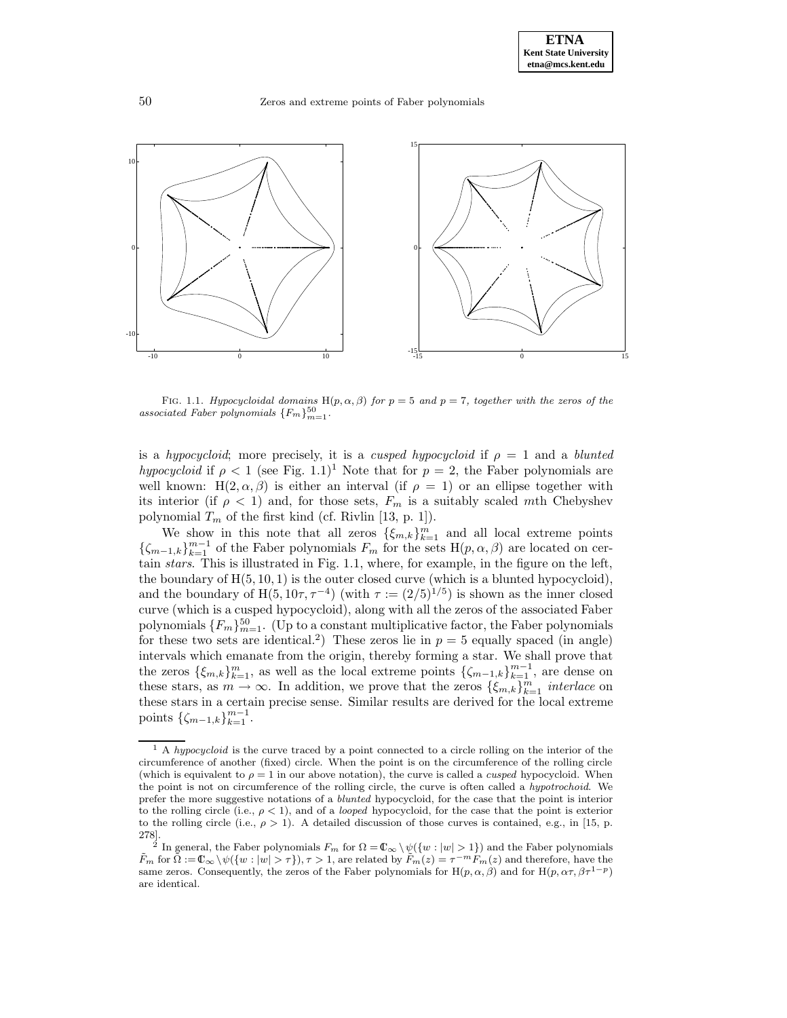

FIG. 1.1. Hypocycloidal domains H(p,  $\alpha$ ,  $\beta$ ) for  $p = 5$  and  $p = 7$ , together with the zeros of the associated Faber polynomials  $\{F_m\}_{m=1}^{50}$ .

is a hypocycloid; more precisely, it is a cusped hypocycloid if  $\rho = 1$  and a blunted hypocycloid if  $\rho < 1$  (see Fig. 1.1)<sup>1</sup> Note that for  $p = 2$ , the Faber polynomials are well known: H(2,  $\alpha$ ,  $\beta$ ) is either an interval (if  $\rho = 1$ ) or an ellipse together with its interior (if  $\rho < 1$ ) and, for those sets,  $F_m$  is a suitably scaled mth Chebyshev polynomial  $T_m$  of the first kind (cf. Rivlin [13, p. 1]).

We show in this note that all zeros  $\{\xi_{m,k}\}_{k=1}^m$  and all local extreme points  ${\{\zeta_{m-1,k}\}}_{k=1}^{m-1}$  of the Faber polynomials  $F_m$  for the sets  $H(p, \alpha, \beta)$  are located on certain stars. This is illustrated in Fig. 1.1, where, for example, in the figure on the left, the boundary of  $H(5, 10, 1)$  is the outer closed curve (which is a blunted hypocycloid), and the boundary of H(5,  $10\tau$ ,  $\tau^{-4}$ ) (with  $\tau := (2/5)^{1/5}$ ) is shown as the inner closed curve (which is a cusped hypocycloid), along with all the zeros of the associated Faber polynomials  $\{F_m\}_{m=1}^{50}$ . (Up to a constant multiplicative factor, the Faber polynomials for these two sets are identical.<sup>2</sup>) These zeros lie in  $p = 5$  equally spaced (in angle) intervals which emanate from the origin, thereby forming a star. We shall prove that the zeros  $\{\xi_{m,k}\}_{k=1}^m$ , as well as the local extreme points  $\{\zeta_{m-1,k}\}_{k=1}^{m-1}$ , are dense on these stars, as  $m \to \infty$ . In addition, we prove that the zeros  $\{\xi_{m,k}\}_{k=1}^m$  interlace on these stars in a certain precise sense. Similar results are derived for the local extreme points  $\{\zeta_{m-1,k}\}_{k=1}^{m-1}$ .

 $1 \text{ A } hypocycloid$  is the curve traced by a point connected to a circle rolling on the interior of the circumference of another (fixed) circle. When the point is on the circumference of the rolling circle (which is equivalent to  $\rho = 1$  in our above notation), the curve is called a *cusped* hypocycloid. When the point is not on circumference of the rolling circle, the curve is often called a hypotrochoid. We prefer the more suggestive notations of a blunted hypocycloid, for the case that the point is interior to the rolling circle (i.e.,  $\rho < 1$ ), and of a *looped* hypocycloid, for the case that the point is exterior to the rolling circle (i.e.,  $\rho > 1$ ). A detailed discussion of those curves is contained, e.g., in [15, p.  $\begin{matrix} 278 \\[-4pt] 2 \end{matrix}$ 

<sup>&</sup>lt;sup>2</sup> In general, the Faber polynomials  $F_m$  for  $\Omega = \mathbb{C}_{\infty} \setminus \psi({w : |w| > 1})$  and the Faber polynomials  $\tilde{F}_m$  for  $\tilde{\Omega} := \mathbb{C}_{\infty} \setminus \psi(\{w : |w| > \tau\}), \tau > 1$ , are related by  $\tilde{F}_m(z) = \tau^{-m} F_m(z)$  and therefore, have the same zeros. Consequently, the zeros of the Faber polynomials for H(p,  $\alpha$ ,  $\beta$ ) and for H(p,  $\alpha \tau$ ,  $\beta \tau^{1-p}$ ) are identical.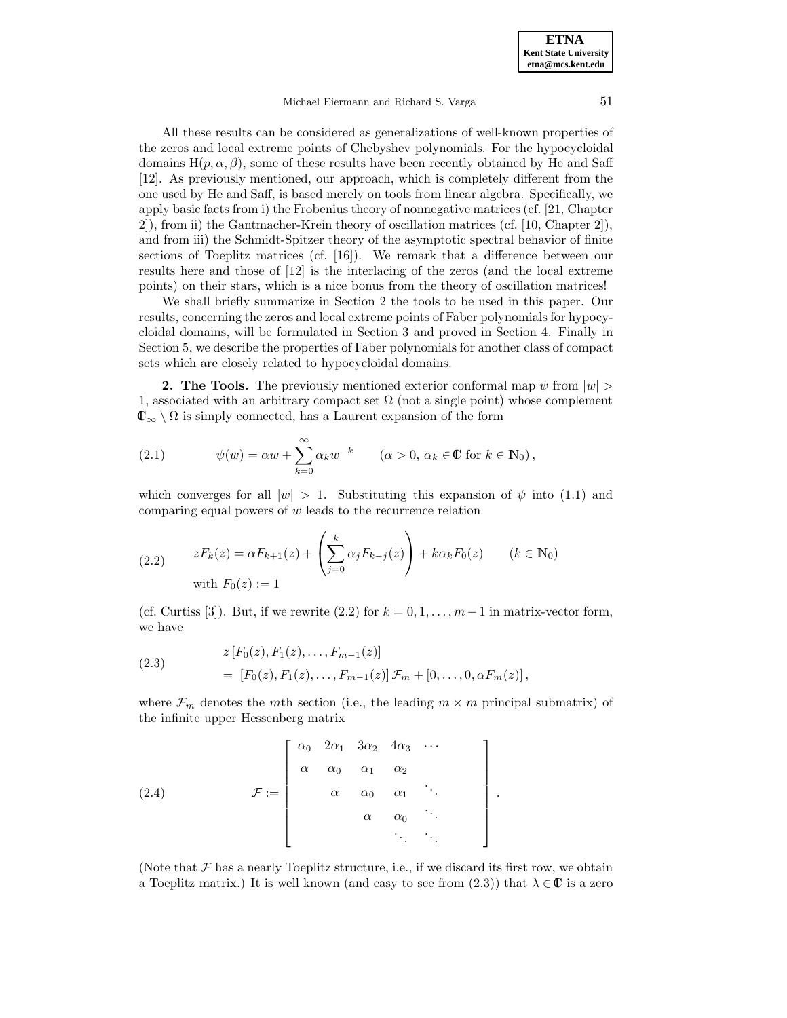#### Michael Eiermann and Richard S. Varga 51

All these results can be considered as generalizations of well-known properties of the zeros and local extreme points of Chebyshev polynomials. For the hypocycloidal domains  $H(p, \alpha, \beta)$ , some of these results have been recently obtained by He and Saff [12]. As previously mentioned, our approach, which is completely different from the one used by He and Saff, is based merely on tools from linear algebra. Specifically, we apply basic facts from i) the Frobenius theory of nonnegative matrices (cf. [21, Chapter 2]), from ii) the Gantmacher-Krein theory of oscillation matrices (cf. [10, Chapter 2]), and from iii) the Schmidt-Spitzer theory of the asymptotic spectral behavior of finite sections of Toeplitz matrices (cf. [16]). We remark that a difference between our results here and those of [12] is the interlacing of the zeros (and the local extreme points) on their stars, which is a nice bonus from the theory of oscillation matrices!

We shall briefly summarize in Section 2 the tools to be used in this paper. Our results, concerning the zeros and local extreme points of Faber polynomials for hypocycloidal domains, will be formulated in Section 3 and proved in Section 4. Finally in Section 5, we describe the properties of Faber polynomials for another class of compact sets which are closely related to hypocycloidal domains.

**2. The Tools.** The previously mentioned exterior conformal map  $\psi$  from  $|w|$ 1, associated with an arbitrary compact set  $\Omega$  (not a single point) whose complement  $\mathbb{C}_{\infty} \setminus \Omega$  is simply connected, has a Laurent expansion of the form

(2.1) 
$$
\psi(w) = \alpha w + \sum_{k=0}^{\infty} \alpha_k w^{-k} \qquad (\alpha > 0, \, \alpha_k \in \mathbb{C} \text{ for } k \in \mathbb{N}_0),
$$

which converges for all  $|w| > 1$ . Substituting this expansion of  $\psi$  into (1.1) and comparing equal powers of  $w$  leads to the recurrence relation

(2.2) 
$$
zF_k(z) = \alpha F_{k+1}(z) + \left(\sum_{j=0}^k \alpha_j F_{k-j}(z)\right) + k\alpha_k F_0(z) \qquad (k \in \mathbb{N}_0)
$$
  
with  $F_0(z) := 1$ 

(cf. Curtiss [3]). But, if we rewrite (2.2) for  $k = 0, 1, \ldots, m-1$  in matrix-vector form, we have

(2.3) 
$$
z [F_0(z), F_1(z), \dots, F_{m-1}(z)] = [F_0(z), F_1(z), \dots, F_{m-1}(z)] \mathcal{F}_m + [0, \dots, 0, \alpha F_m(z)],
$$

where  $\mathcal{F}_m$  denotes the mth section (i.e., the leading  $m \times m$  principal submatrix) of the infinite upper Hessenberg matrix

> 1  $\mathbf{I}$  $\overline{1}$  $\overline{1}$  $\overline{1}$  $\overline{1}$  $\overline{1}$  $\mathbf{I}$  $\overline{1}$  $\overline{1}$

(2.4) 
$$
\mathcal{F} := \left[\begin{array}{cccc} \alpha_0 & 2\alpha_1 & 3\alpha_2 & 4\alpha_3 & \cdots \\ \alpha & \alpha_0 & \alpha_1 & \alpha_2 \\ & \alpha & \alpha_0 & \alpha_1 & \ddots \\ & & \alpha & \alpha_0 & \ddots \\ & & & & \ddots & \ddots \end{array}\right].
$$

(Note that  $\mathcal F$  has a nearly Toeplitz structure, i.e., if we discard its first row, we obtain a Toeplitz matrix.) It is well known (and easy to see from  $(2.3)$ ) that  $\lambda \in \mathbb{C}$  is a zero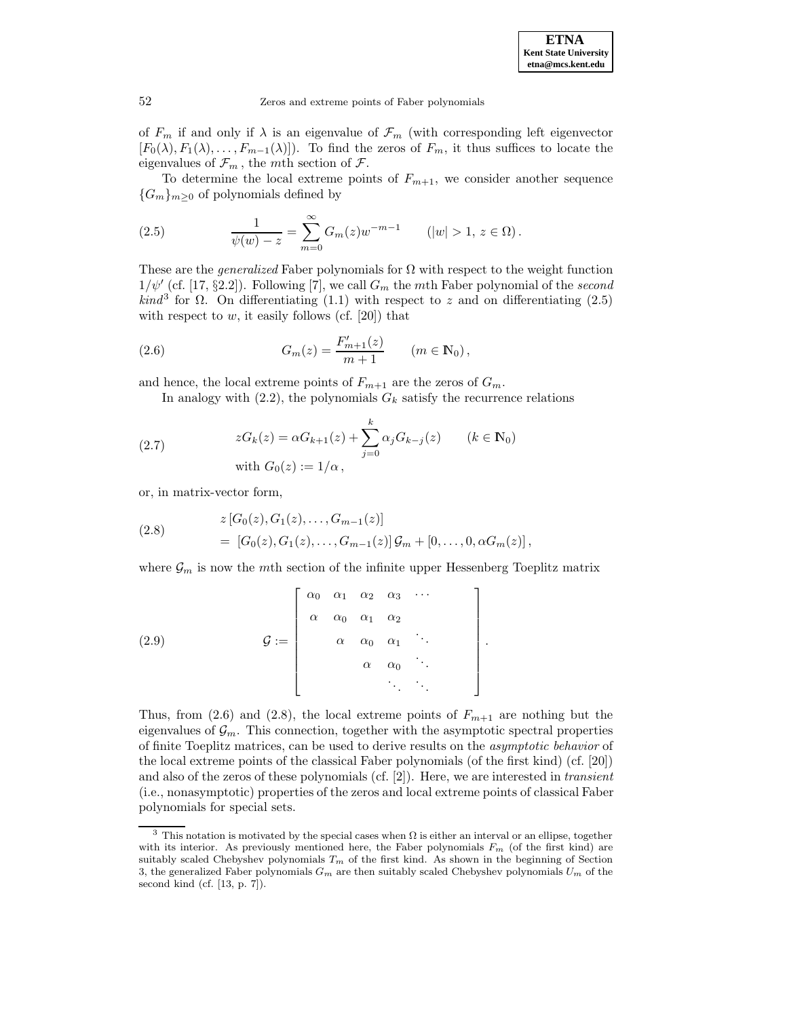52 Zeros and extreme points of Faber polynomials

of  $F_m$  if and only if  $\lambda$  is an eigenvalue of  $\mathcal{F}_m$  (with corresponding left eigenvector  $[F_0(\lambda), F_1(\lambda), \ldots, F_{m-1}(\lambda)]$ . To find the zeros of  $F_m$ , it thus suffices to locate the eigenvalues of  $\mathcal{F}_m$ , the mth section of  $\mathcal{F}$ .

To determine the local extreme points of  $F_{m+1}$ , we consider another sequence  ${G_m}_{m\geq0}$  of polynomials defined by

(2.5) 
$$
\frac{1}{\psi(w) - z} = \sum_{m=0}^{\infty} G_m(z) w^{-m-1} \qquad (|w| > 1, z \in \Omega).
$$

These are the *generalized* Faber polynomials for  $\Omega$  with respect to the weight function  $1/\psi'$  (cf. [17, §2.2]). Following [7], we call  $G_m$  the mth Faber polynomial of the second  $\text{kind}^3$  for  $\Omega$ . On differentiating (1.1) with respect to z and on differentiating (2.5) with respect to  $w$ , it easily follows (cf. [20]) that

(2.6) 
$$
G_m(z) = \frac{F'_{m+1}(z)}{m+1} \qquad (m \in \mathbb{N}_0),
$$

and hence, the local extreme points of  $F_{m+1}$  are the zeros of  $G_m$ .

In analogy with  $(2.2)$ , the polynomials  $G_k$  satisfy the recurrence relations

(2.7) 
$$
zG_k(z) = \alpha G_{k+1}(z) + \sum_{j=0}^k \alpha_j G_{k-j}(z) \qquad (k \in \mathbb{N}_0)
$$
  
with  $G_0(z) := 1/\alpha$ ,

or, in matrix-vector form,

(2.8) 
$$
z[G_0(z), G_1(z), ..., G_{m-1}(z)]
$$

$$
= [G_0(z), G_1(z), ..., G_{m-1}(z)] \mathcal{G}_m + [0, ..., 0, \alpha G_m(z)],
$$

where  $\mathcal{G}_m$  is now the mth section of the infinite upper Hessenberg Toeplitz matrix

$$
(2.9) \quad \mathcal{G} := \left[\begin{array}{cccc} \alpha_0 & \alpha_1 & \alpha_2 & \alpha_3 & \cdots \\ \alpha & \alpha_0 & \alpha_1 & \alpha_2 & \\ & \alpha & \alpha_0 & \alpha_1 & \ddots \\ & & \alpha & \alpha_0 & \ddots \\ & & & \ddots & \ddots \end{array}\right].
$$

Thus, from (2.6) and (2.8), the local extreme points of  $F_{m+1}$  are nothing but the eigenvalues of  $\mathcal{G}_m$ . This connection, together with the asymptotic spectral properties of finite Toeplitz matrices, can be used to derive results on the asymptotic behavior of the local extreme points of the classical Faber polynomials (of the first kind) (cf. [20]) and also of the zeros of these polynomials (cf.  $[2]$ ). Here, we are interested in *transient* (i.e., nonasymptotic) properties of the zeros and local extreme points of classical Faber polynomials for special sets.

<sup>&</sup>lt;sup>3</sup> This notation is motivated by the special cases when  $\Omega$  is either an interval or an ellipse, together with its interior. As previously mentioned here, the Faber polynomials  $F_m$  (of the first kind) are suitably scaled Chebyshev polynomials  $T_m$  of the first kind. As shown in the beginning of Section 3, the generalized Faber polynomials  $G_m$  are then suitably scaled Chebyshev polynomials  $U_m$  of the second kind (cf. [13, p. 7]).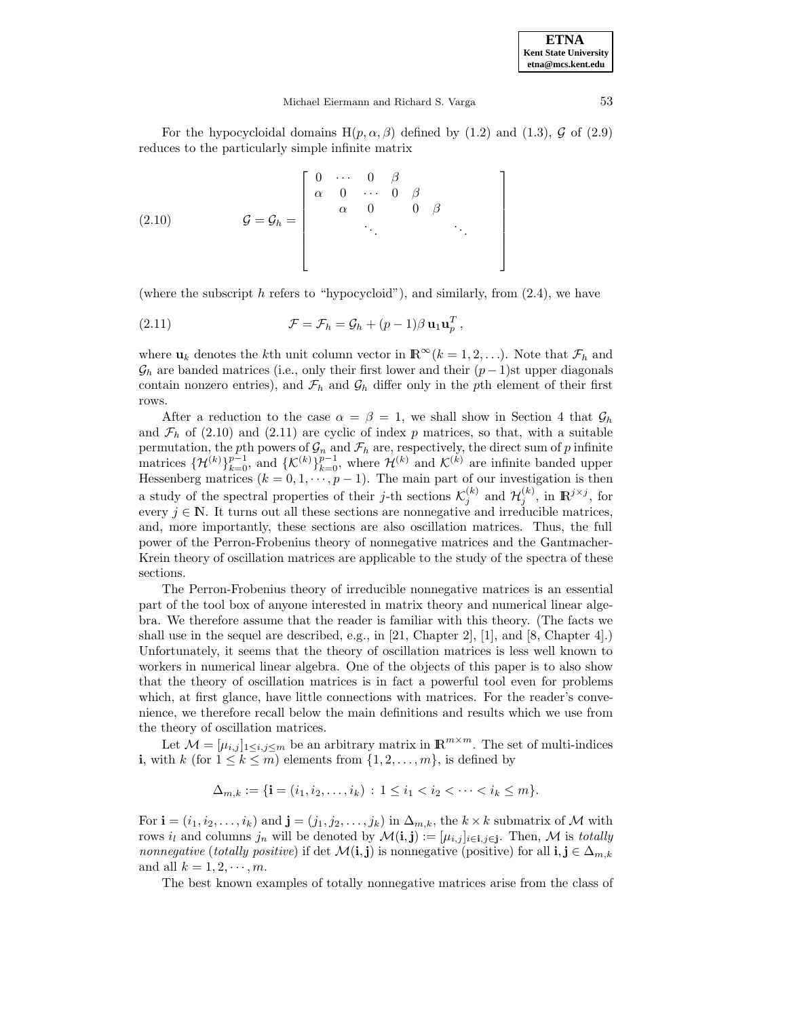1  $\overline{1}$  $\mathbf{I}$  $\mathbf{I}$  $\mathbf{I}$  $\mathbf{I}$  $\mathbf{I}$  $\mathbf{I}$  $\overline{1}$ 

#### Michael Eiermann and Richard S. Varga 53

For the hypocycloidal domains  $H(p, \alpha, \beta)$  defined by (1.2) and (1.3),  $\mathcal G$  of (2.9) reduces to the particularly simple infinite matrix

$$
(2.10) \quad \mathcal{G} = \mathcal{G}_h = \begin{bmatrix} 0 & \cdots & 0 & \beta \\ \alpha & 0 & \cdots & 0 & \beta \\ & \alpha & 0 & 0 & \beta \\ & & \ddots & \ddots \end{bmatrix}
$$

(where the subscript  $h$  refers to "hypocycloid"), and similarly, from  $(2.4)$ , we have

(2.11) 
$$
\mathcal{F} = \mathcal{F}_h = \mathcal{G}_h + (p-1)\beta \mathbf{u}_1 \mathbf{u}_p^T,
$$

where  $\mathbf{u}_k$  denotes the k<sup>th</sup> unit column vector in  $\mathbb{R}^{\infty}$  ( $k = 1, 2, ...$ ). Note that  $\mathcal{F}_h$  and  $\mathcal{G}_h$  are banded matrices (i.e., only their first lower and their  $(p-1)$ st upper diagonals contain nonzero entries), and  $\mathcal{F}_h$  and  $\mathcal{G}_h$  differ only in the pth element of their first rows.

After a reduction to the case  $\alpha = \beta = 1$ , we shall show in Section 4 that  $\mathcal{G}_h$ and  $\mathcal{F}_h$  of (2.10) and (2.11) are cyclic of index p matrices, so that, with a suitable permutation, the pth powers of  $\mathcal{G}_n$  and  $\mathcal{F}_h$  are, respectively, the direct sum of p infinite matrices  $\{\mathcal{H}^{(k)}\}_{k=0}^{p-1}$ , and  $\{\mathcal{K}^{(k)}\}_{k=0}^{p-1}$ , where  $\mathcal{H}^{(k)}$  and  $\mathcal{K}^{(k)}$  are infinite banded upper Hessenberg matrices  $(k = 0, 1, \dots, p-1)$ . The main part of our investigation is then a study of the spectral properties of their j-th sections  $\mathcal{K}_j^{(k)}$  and  $\mathcal{H}_j^{(k)}$ , in  $\mathbb{R}^{j \times j}$ , for every  $j \in \mathbb{N}$ . It turns out all these sections are nonnegative and irreducible matrices, and, more importantly, these sections are also oscillation matrices. Thus, the full power of the Perron-Frobenius theory of nonnegative matrices and the Gantmacher-Krein theory of oscillation matrices are applicable to the study of the spectra of these sections.

The Perron-Frobenius theory of irreducible nonnegative matrices is an essential part of the tool box of anyone interested in matrix theory and numerical linear algebra. We therefore assume that the reader is familiar with this theory. (The facts we shall use in the sequel are described, e.g., in [21, Chapter 2], [1], and [8, Chapter 4].) Unfortunately, it seems that the theory of oscillation matrices is less well known to workers in numerical linear algebra. One of the objects of this paper is to also show that the theory of oscillation matrices is in fact a powerful tool even for problems which, at first glance, have little connections with matrices. For the reader's convenience, we therefore recall below the main definitions and results which we use from the theory of oscillation matrices.

Let  $\mathcal{M} = [\mu_{i,j}]_{1 \leq i,j \leq m}$  be an arbitrary matrix in  $\mathbb{R}^{m \times m}$ . The set of multi-indices **i**, with k (for  $1 \leq k \leq m$ ) elements from  $\{1, 2, \ldots, m\}$ , is defined by

$$
\Delta_{m,k} := \{ \mathbf{i} = (i_1, i_2, \dots, i_k) : 1 \le i_1 < i_2 < \dots < i_k \le m \}.
$$

For **i** =  $(i_1, i_2, \ldots, i_k)$  and **j** =  $(j_1, j_2, \ldots, j_k)$  in  $\Delta_{m,k}$ , the  $k \times k$  submatrix of M with rows  $i_l$  and columns  $j_n$  will be denoted by  $\mathcal{M}(\mathbf{i}, \mathbf{j}) := [\mu_{i,j}]_{i \in \mathbf{i}, j \in \mathbf{j}}$ . Then,  $\mathcal M$  is totally nonnegative (totally positive) if det  $\mathcal{M}(\mathbf{i},\mathbf{j})$  is nonnegative (positive) for all  $\mathbf{i},\mathbf{j} \in \Delta_{m,k}$ and all  $k = 1, 2, \dots, m$ .

The best known examples of totally nonnegative matrices arise from the class of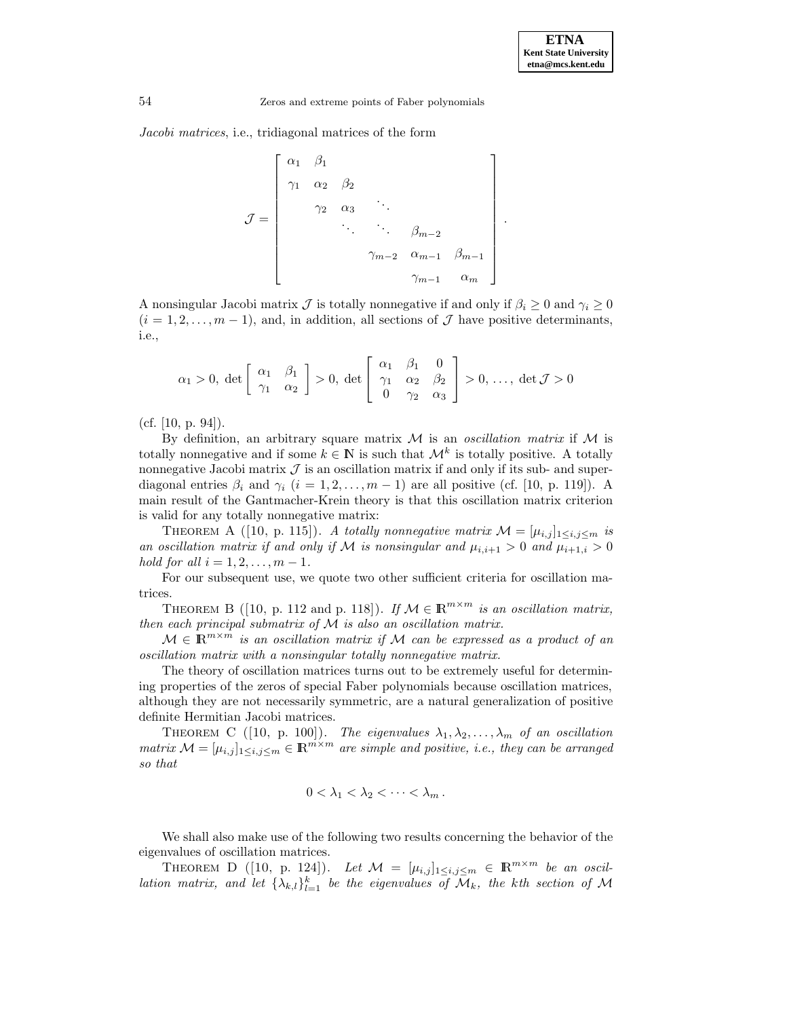.

54 Zeros and extreme points of Faber polynomials

Jacobi matrices, i.e., tridiagonal matrices of the form

$$
\mathcal{J} = \begin{bmatrix} \alpha_1 & \beta_1 \\ \gamma_1 & \alpha_2 & \beta_2 \\ & \gamma_2 & \alpha_3 & \ddots & \\ & & \ddots & \ddots & \beta_{m-2} \\ & & & \gamma_{m-2} & \alpha_{m-1} & \beta_{m-1} \\ & & & & \gamma_{m-1} & \alpha_m \end{bmatrix}
$$

A nonsingular Jacobi matrix  $\mathcal J$  is totally nonnegative if and only if  $\beta_i \geq 0$  and  $\gamma_i \geq 0$  $(i = 1, 2, \ldots, m - 1)$ , and, in addition, all sections of  $\mathcal{J}$  have positive determinants, i.e.,

$$
\alpha_1 > 0, \ \det\left[\begin{array}{cc} \alpha_1 & \beta_1 \\ \gamma_1 & \alpha_2 \end{array}\right] > 0, \ \det\left[\begin{array}{cc} \alpha_1 & \beta_1 & 0 \\ \gamma_1 & \alpha_2 & \beta_2 \\ 0 & \gamma_2 & \alpha_3 \end{array}\right] > 0, \ \ldots, \ \det \mathcal{J} > 0
$$

(cf.  $[10, p. 94]$ ).

By definition, an arbitrary square matrix  $M$  is an *oscillation matrix* if  $M$  is totally nonnegative and if some  $k \in \mathbb{N}$  is such that  $\mathcal{M}^k$  is totally positive. A totally nonnegative Jacobi matrix  $\mathcal J$  is an oscillation matrix if and only if its sub- and superdiagonal entries  $\beta_i$  and  $\gamma_i$   $(i = 1, 2, ..., m - 1)$  are all positive (cf. [10, p. 119]). A main result of the Gantmacher-Krein theory is that this oscillation matrix criterion is valid for any totally nonnegative matrix:

THEOREM A ([10, p. 115]). A totally nonnegative matrix  $\mathcal{M} = [\mu_{i,j}]_{1 \leq i,j \leq m}$  is an oscillation matrix if and only if M is nonsingular and  $\mu_{i,i+1} > 0$  and  $\mu_{i+1,i} > 0$ hold for all  $i = 1, 2, \ldots, m - 1$ .

For our subsequent use, we quote two other sufficient criteria for oscillation matrices.

THEOREM B ([10, p. 112 and p. 118]). If  $M \in \mathbb{R}^{m \times m}$  is an oscillation matrix, then each principal submatrix of M is also an oscillation matrix.

 $\mathcal{M} \in \mathbb{R}^{m \times m}$  is an oscillation matrix if M can be expressed as a product of an oscillation matrix with a nonsingular totally nonnegative matrix.

The theory of oscillation matrices turns out to be extremely useful for determining properties of the zeros of special Faber polynomials because oscillation matrices, although they are not necessarily symmetric, are a natural generalization of positive definite Hermitian Jacobi matrices.

THEOREM C ([10, p. 100]). The eigenvalues  $\lambda_1, \lambda_2, \ldots, \lambda_m$  of an oscillation matrix  $M = [\mu_{i,j}]_{1 \leq i,j \leq m} \in \mathbb{R}^{m \times m}$  are simple and positive, i.e., they can be arranged so that

$$
0<\lambda_1<\lambda_2<\cdots<\lambda_m.
$$

We shall also make use of the following two results concerning the behavior of the eigenvalues of oscillation matrices.

THEOREM D ([10, p. 124]). Let  $\mathcal{M} = [\mu_{i,j}]_{1 \leq i,j \leq m} \in \mathbb{R}^{m \times m}$  be an oscillation matrix, and let  $\{\lambda_{k,l}\}_{l=1}^k$  be the eigenvalues of  $\mathcal{M}_k$ , the kth section of  $\mathcal M$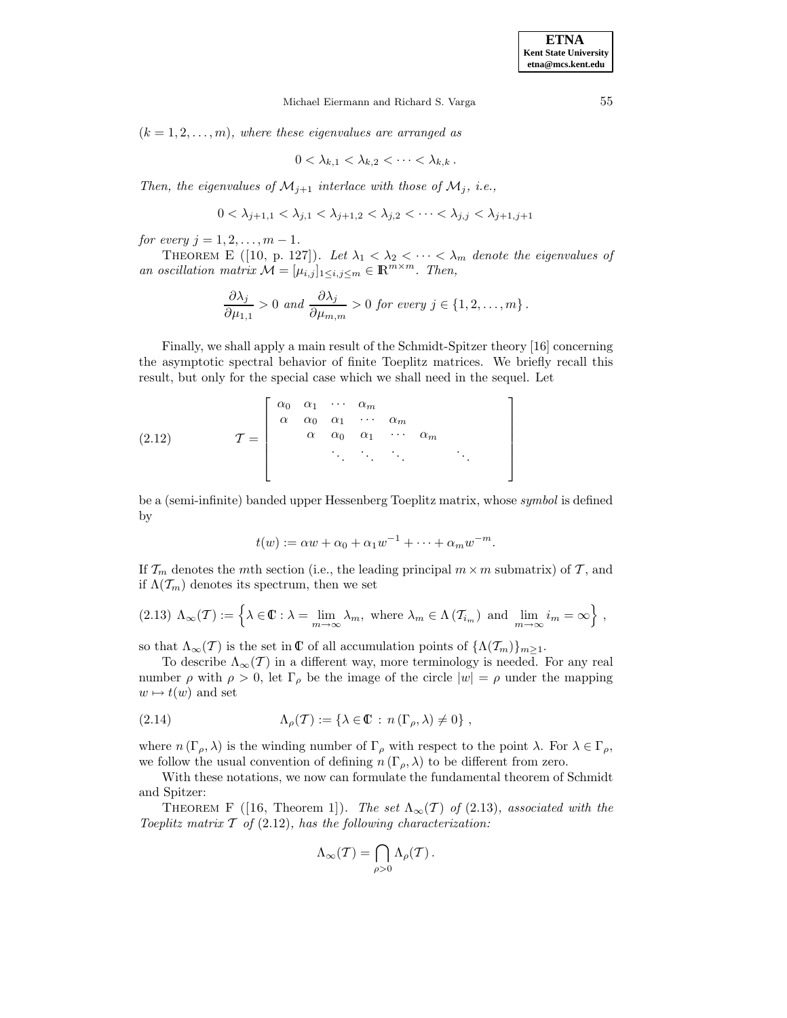$(k = 1, 2, \ldots, m)$ , where these eigenvalues are arranged as

$$
0 < \lambda_{k,1} < \lambda_{k,2} < \cdots < \lambda_{k,k}.
$$

Then, the eigenvalues of  $\mathcal{M}_{j+1}$  interlace with those of  $\mathcal{M}_j$ , i.e.,

$$
0<\lambda_{j+1,1}<\lambda_{j,1}<\lambda_{j+1,2}<\lambda_{j,2}<\cdots<\lambda_{j,j}<\lambda_{j+1,j+1}
$$

for every  $j = 1, 2, \ldots, m - 1$ .

THEOREM E ([10, p. 127]). Let  $\lambda_1 < \lambda_2 < \cdots < \lambda_m$  denote the eigenvalues of an oscillation matrix  $\mathcal{M} = [\mu_{i,j}]_{1 \leq i,j \leq m} \in \mathbb{R}^{\overline{m} \times m}$ . Then,

$$
\frac{\partial \lambda_j}{\partial \mu_{1,1}} > 0 \text{ and } \frac{\partial \lambda_j}{\partial \mu_{m,m}} > 0 \text{ for every } j \in \{1, 2, ..., m\}.
$$

Finally, we shall apply a main result of the Schmidt-Spitzer theory [16] concerning the asymptotic spectral behavior of finite Toeplitz matrices. We briefly recall this result, but only for the special case which we shall need in the sequel. Let

T = α<sup>0</sup> α<sup>1</sup> ··· α<sup>m</sup> α α<sup>0</sup> α<sup>1</sup> ··· α<sup>m</sup> α α<sup>0</sup> α<sup>1</sup> ··· α<sup>m</sup> ... ... ... ... (2.12)

be a (semi-infinite) banded upper Hessenberg Toeplitz matrix, whose symbol is defined by

$$
t(w) := \alpha w + \alpha_0 + \alpha_1 w^{-1} + \dots + \alpha_m w^{-m}.
$$

If  $\mathcal{T}_m$  denotes the mth section (i.e., the leading principal  $m \times m$  submatrix) of  $\mathcal{T}$ , and if  $\Lambda(\mathcal{T}_m)$  denotes its spectrum, then we set

$$
(2.13) \Lambda_{\infty}(\mathcal{T}) := \left\{ \lambda \in \mathbb{C} : \lambda = \lim_{m \to \infty} \lambda_m, \text{ where } \lambda_m \in \Lambda(\mathcal{T}_{i_m}) \text{ and } \lim_{m \to \infty} i_m = \infty \right\},\
$$

so that  $\Lambda_{\infty}(T)$  is the set in  $\mathbb C$  of all accumulation points of  $\{\Lambda(\mathcal{T}_m)\}_{m>1}$ .

To describe  $\Lambda_{\infty}(\mathcal{T})$  in a different way, more terminology is needed. For any real number  $\rho$  with  $\rho > 0$ , let  $\Gamma_{\rho}$  be the image of the circle  $|w| = \rho$  under the mapping  $w \mapsto t(w)$  and set

(2.14) 
$$
\Lambda_{\rho}(T) := \{ \lambda \in \mathbb{C} : n(\Gamma_{\rho}, \lambda) \neq 0 \},
$$

where  $n(\Gamma_{\rho}, \lambda)$  is the winding number of  $\Gamma_{\rho}$  with respect to the point  $\lambda$ . For  $\lambda \in \Gamma_{\rho}$ , we follow the usual convention of defining  $n(\Gamma_{\rho},\lambda)$  to be different from zero.

With these notations, we now can formulate the fundamental theorem of Schmidt and Spitzer:

THEOREM F ([16, Theorem 1]). The set  $\Lambda_{\infty}(\mathcal{T})$  of (2.13), associated with the Toeplitz matrix  $T$  of (2.12), has the following characterization:

$$
\Lambda_\infty(\mathcal{T}) = \bigcap_{\rho > 0} \Lambda_\rho(\mathcal{T}).
$$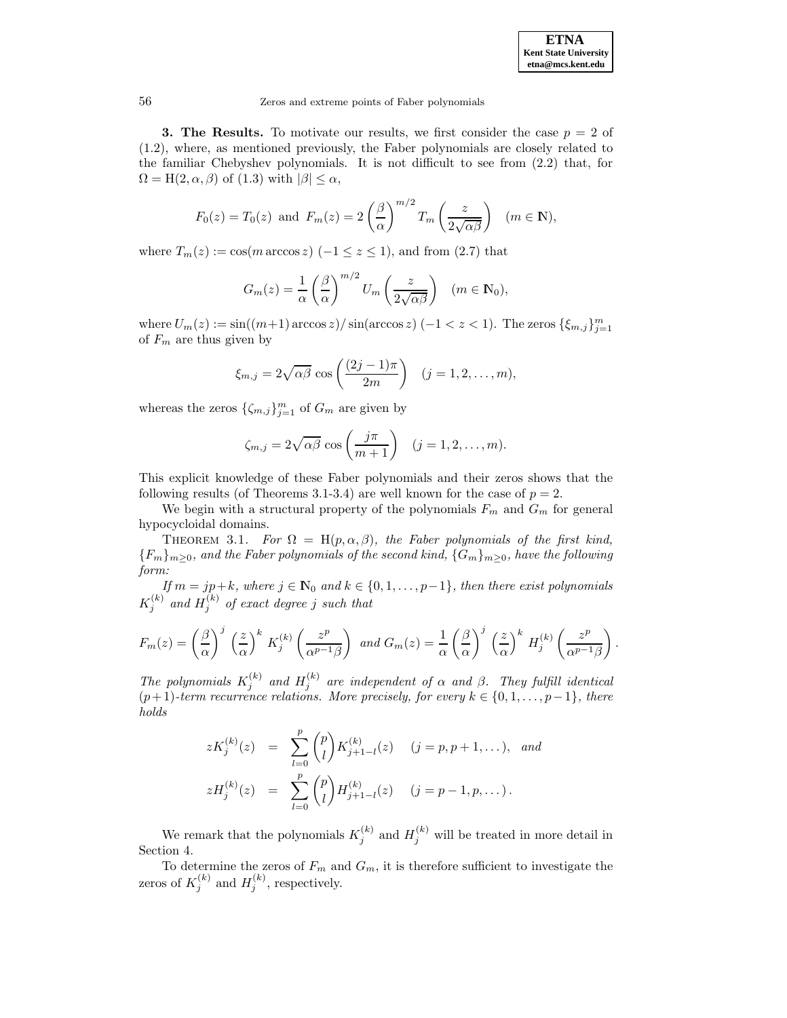.

56 Zeros and extreme points of Faber polynomials

**3. The Results.** To motivate our results, we first consider the case  $p = 2$  of (1.2), where, as mentioned previously, the Faber polynomials are closely related to the familiar Chebyshev polynomials. It is not difficult to see from (2.2) that, for  $\Omega = H(2, \alpha, \beta)$  of (1.3) with  $|\beta| \leq \alpha$ ,

$$
F_0(z) = T_0(z)
$$
 and  $F_m(z) = 2\left(\frac{\beta}{\alpha}\right)^{m/2} T_m\left(\frac{z}{2\sqrt{\alpha\beta}}\right)$   $(m \in \mathbb{N}),$ 

where  $T_m(z) := \cos(m \arccos z) (-1 \le z \le 1)$ , and from (2.7) that

$$
G_m(z) = \frac{1}{\alpha} \left(\frac{\beta}{\alpha}\right)^{m/2} U_m\left(\frac{z}{2\sqrt{\alpha\beta}}\right) \quad (m \in \mathbb{N}_0),
$$

where  $U_m(z) := \sin((m+1)\arccos z)/\sin(\arccos z) (-1 < z < 1)$ . The zeros  $\{\xi_{m,j}\}_{j=1}^m$ of  $F_m$  are thus given by

$$
\xi_{m,j} = 2\sqrt{\alpha\beta} \cos\left(\frac{(2j-1)\pi}{2m}\right) \quad (j=1,2,\ldots,m),
$$

whereas the zeros  $\{\zeta_{m,j}\}_{j=1}^m$  of  $G_m$  are given by

$$
\zeta_{m,j} = 2\sqrt{\alpha\beta} \cos\left(\frac{j\pi}{m+1}\right) \quad (j=1,2,\ldots,m).
$$

This explicit knowledge of these Faber polynomials and their zeros shows that the following results (of Theorems 3.1-3.4) are well known for the case of  $p = 2$ .

We begin with a structural property of the polynomials  $F_m$  and  $G_m$  for general hypocycloidal domains.

THEOREM 3.1. For  $\Omega = H(p, \alpha, \beta)$ , the Faber polynomials of the first kind,  ${F_m}_{m>0}$ , and the Faber polynomials of the second kind,  ${G_m}_{m>0}$ , have the following form:

If  $m = jp+k$ , where  $j \in \mathbb{N}_0$  and  $k \in \{0, 1, \ldots, p-1\}$ , then there exist polynomials  $K_j^{(k)}$  and  $H_j^{(k)}$  of exact degree  $j$  such that

$$
F_m(z) = \left(\frac{\beta}{\alpha}\right)^j \left(\frac{z}{\alpha}\right)^k K_j^{(k)}\left(\frac{z^p}{\alpha^{p-1}\beta}\right) \text{ and } G_m(z) = \frac{1}{\alpha} \left(\frac{\beta}{\alpha}\right)^j \left(\frac{z}{\alpha}\right)^k H_j^{(k)}\left(\frac{z^p}{\alpha^{p-1}\beta}\right)
$$

The polynomials  $K_j^{(k)}$  and  $H_j^{(k)}$  are independent of  $\alpha$  and  $\beta$ . They fulfill identical  $(p+1)$ -term recurrence relations. More precisely, for every  $k \in \{0, 1, \ldots, p-1\}$ , there holds

$$
zK_j^{(k)}(z) = \sum_{l=0}^p {p \choose l} K_{j+1-l}^{(k)}(z) \quad (j=p, p+1, \ldots), \text{ and}
$$
  

$$
zH_j^{(k)}(z) = \sum_{l=0}^p {p \choose l} H_{j+1-l}^{(k)}(z) \quad (j=p-1, p, \ldots).
$$

We remark that the polynomials  $K_j^{(k)}$  and  $H_j^{(k)}$  will be treated in more detail in Section 4.

To determine the zeros of  $F_m$  and  $G_m$ , it is therefore sufficient to investigate the zeros of  $K_j^{(k)}$  and  $H_j^{(k)}$ , respectively.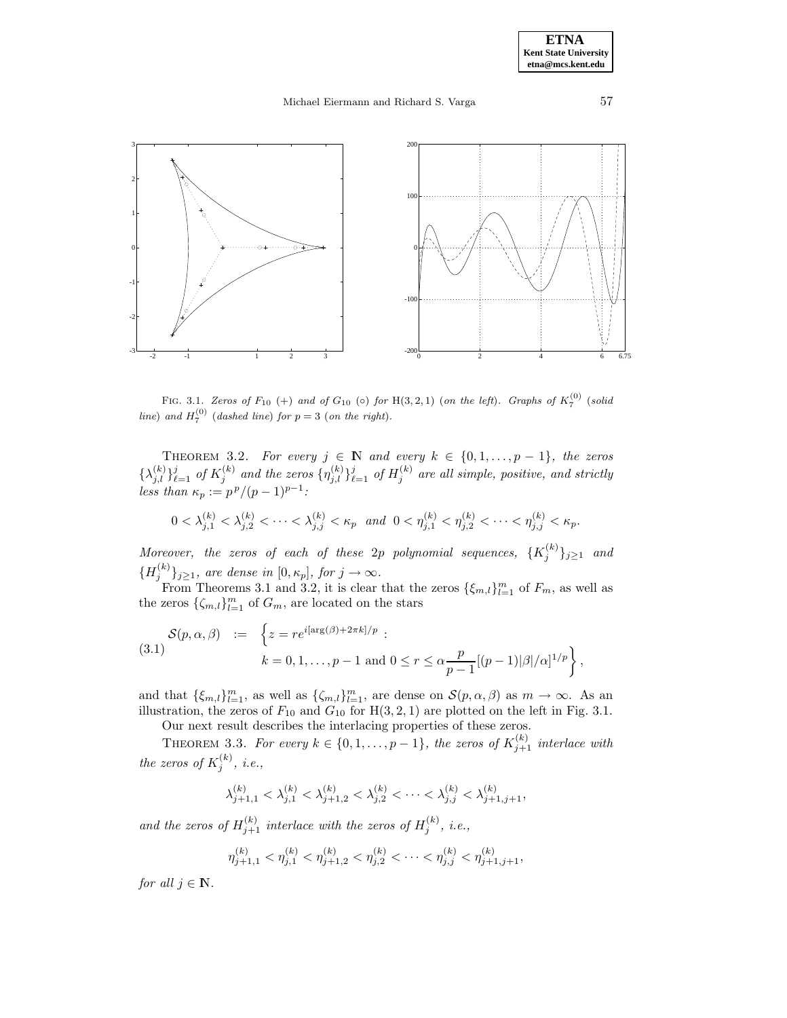## Michael Eiermann and Richard S. Varga 57



FIG. 3.1. Zeros of  $F_{10}$  (+) and of  $G_{10}$  ( $\circ$ ) for H(3, 2, 1) (on the left). Graphs of  $K_7^{(0)}$  (solid line) and  $H_7^{(0)}$  (dashed line) for  $p = 3$  (on the right).

THEOREM 3.2. For every  $j \in \mathbb{N}$  and every  $k \in \{0, 1, \ldots, p-1\}$ , the zeros  $\{\lambda_{j,l}^{(k)}\}_{\ell=1}^j$  of  $K_j^{(k)}$  and the zeros  $\{\eta_{j,l}^{(k)}\}_{\ell=1}^j$  of  $H_j^{(k)}$  are all simple, positive, and strictly less than  $\kappa_p := p^p/(p-1)^{p-1}$ :

$$
0 < \lambda_{j,1}^{(k)} < \lambda_{j,2}^{(k)} < \cdots < \lambda_{j,j}^{(k)} < \kappa_p \text{ and } 0 < \eta_{j,1}^{(k)} < \eta_{j,2}^{(k)} < \cdots < \eta_{j,j}^{(k)} < \kappa_p.
$$

Moreover, the zeros of each of these 2p polynomial sequences,  $\{K_j^{(k)}\}_{j\geq 1}$  and  ${H_j^{(k)}}_{j \geq 1}$ , are dense in  $[0, \kappa_p]$ , for  $j \to \infty$ .

From Theorems 3.1 and 3.2, it is clear that the zeros  $\{\xi_{m,l}\}_{l=1}^m$  of  $F_m$ , as well as the zeros  $\{\zeta_{m,l}\}_{l=1}^m$  of  $G_m$ , are located on the stars

(3.1) 
$$
\mathcal{S}(p, \alpha, \beta) := \left\{ z = re^{i[\arg(\beta) + 2\pi k]/p} : \right\} k = 0, 1, ..., p - 1 \text{ and } 0 \le r \le \alpha \frac{p}{p - 1} [(p - 1)|\beta|/\alpha]^{1/p} \right\},
$$

and that  $\{\xi_{m,l}\}_{l=1}^m$ , as well as  $\{\zeta_{m,l}\}_{l=1}^m$ , are dense on  $\mathcal{S}(p,\alpha,\beta)$  as  $m \to \infty$ . As an illustration, the zeros of  $F_{10}$  and  $G_{10}$  for  $H(3, 2, 1)$  are plotted on the left in Fig. 3.1.

Our next result describes the interlacing properties of these zeros.

THEOREM 3.3. For every  $k \in \{0, 1, \ldots, p-1\}$ , the zeros of  $K_{j+1}^{(k)}$  interlace with the zeros of  $K_j^{(k)}$ , i.e.,

$$
\lambda_{j+1,1}^{(k)}<\lambda_{j,1}^{(k)}<\lambda_{j+1,2}^{(k)}<\lambda_{j,2}^{(k)}<\cdot\cdot\cdot<\lambda_{j,j}^{(k)}<\lambda_{j+1,j+1}^{(k)},
$$

and the zeros of  $H_{j+1}^{(k)}$  interlace with the zeros of  $H_j^{(k)}$ , i.e.,

$$
\eta_{j+1,1}^{(k)} < \eta_{j,1}^{(k)} < \eta_{j+1,2}^{(k)} < \eta_{j,2}^{(k)} < \cdots < \eta_{j,j}^{(k)} < \eta_{j+1,j+1}^{(k)},
$$

for all  $j \in \mathbb{N}$ .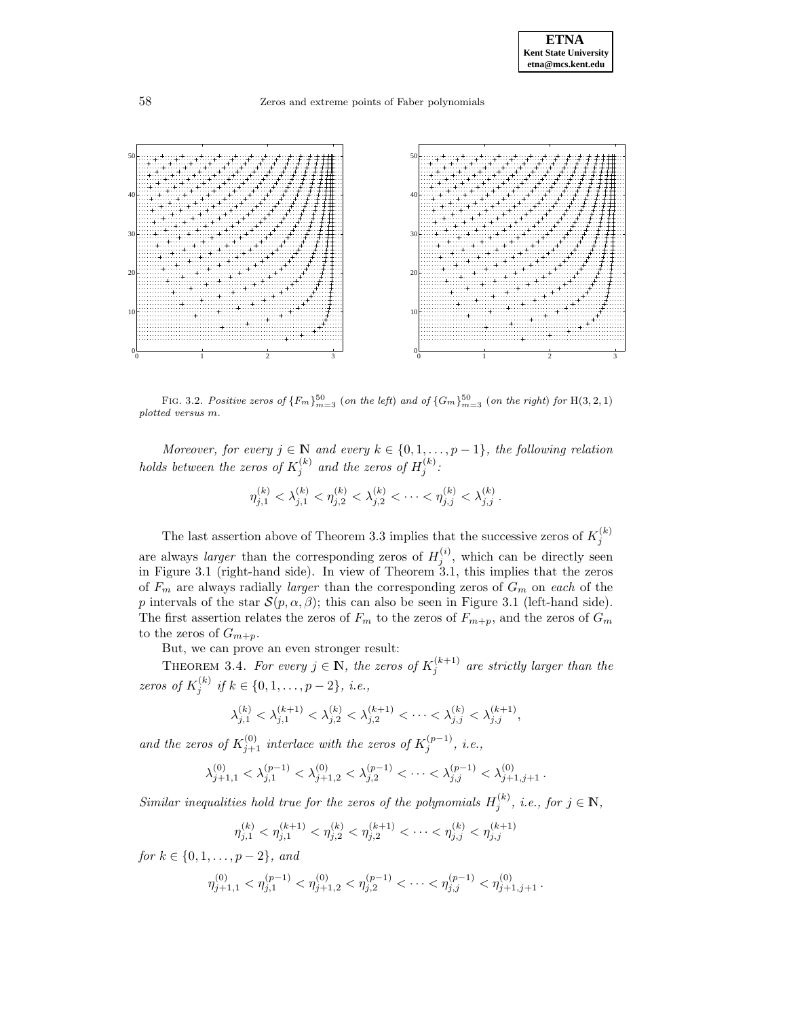

FIG. 3.2. Positive zeros of  ${F_m}_{m=3}^{50}$  (on the left) and of  ${G_m}_{m=3}^{50}$  (on the right) for H(3, 2, 1) plotted versus m.

Moreover, for every  $j \in \mathbb{N}$  and every  $k \in \{0, 1, \ldots, p-1\}$ , the following relation holds between the zeros of  $K_j^{(k)}$  and the zeros of  $H_j^{(k)}$ :

$$
\eta_{j,1}^{(k)} < \lambda_{j,1}^{(k)} < \eta_{j,2}^{(k)} < \lambda_{j,2}^{(k)} < \cdots < \eta_{j,j}^{(k)} < \lambda_{j,j}^{(k)}.
$$

The last assertion above of Theorem 3.3 implies that the successive zeros of  $K_j^{(k)}$ are always *larger* than the corresponding zeros of  $H_j^{(i)}$ , which can be directly seen in Figure 3.1 (right-hand side). In view of Theorem 3.1, this implies that the zeros of  $F_m$  are always radially *larger* than the corresponding zeros of  $G_m$  on each of the p intervals of the star  $\mathcal{S}(p,\alpha,\beta)$ ; this can also be seen in Figure 3.1 (left-hand side). The first assertion relates the zeros of  $F_m$  to the zeros of  $F_{m+p}$ , and the zeros of  $G_m$ to the zeros of  $G_{m+p}$ .

But, we can prove an even stronger result:

THEOREM 3.4. For every  $j \in \mathbb{N}$ , the zeros of  $K_j^{(k+1)}$  are strictly larger than the zeros of  $K_j^{(k)}$  if  $k \in \{0, 1, ..., p-2\}, i.e.,$ 

$$
\lambda_{j,1}^{(k)} < \lambda_{j,1}^{(k+1)} < \lambda_{j,2}^{(k)} < \lambda_{j,2}^{(k+1)} < \cdots < \lambda_{j,j}^{(k)} < \lambda_{j,j}^{(k+1)},
$$

and the zeros of  $K_{j+1}^{(0)}$  interlace with the zeros of  $K_j^{(p-1)}$ , i.e.,

$$
\lambda_{j+1,1}^{(0)} < \lambda_{j,1}^{(p-1)} < \lambda_{j+1,2}^{(0)} < \lambda_{j,2}^{(p-1)} < \cdots < \lambda_{j,j}^{(p-1)} < \lambda_{j+1,j+1}^{(0)}.
$$

Similar inequalities hold true for the zeros of the polynomials  $H_j^{(k)}$ , i.e., for  $j \in \mathbb{N}$ ,

$$
\eta_{j,1}^{(k)} < \eta_{j,1}^{(k+1)} < \eta_{j,2}^{(k)} < \eta_{j,2}^{(k+1)} < \cdots < \eta_{j,j}^{(k)} < \eta_{j,j}^{(k+1)}
$$

for  $k \in \{0, 1, \ldots, p-2\}$ , and

$$
\eta_{j+1,1}^{(0)} < \eta_{j,1}^{(p-1)} < \eta_{j+1,2}^{(0)} < \eta_{j,2}^{(p-1)} < \cdots < \eta_{j,j}^{(p-1)} < \eta_{j+1,j+1}^{(0)}.
$$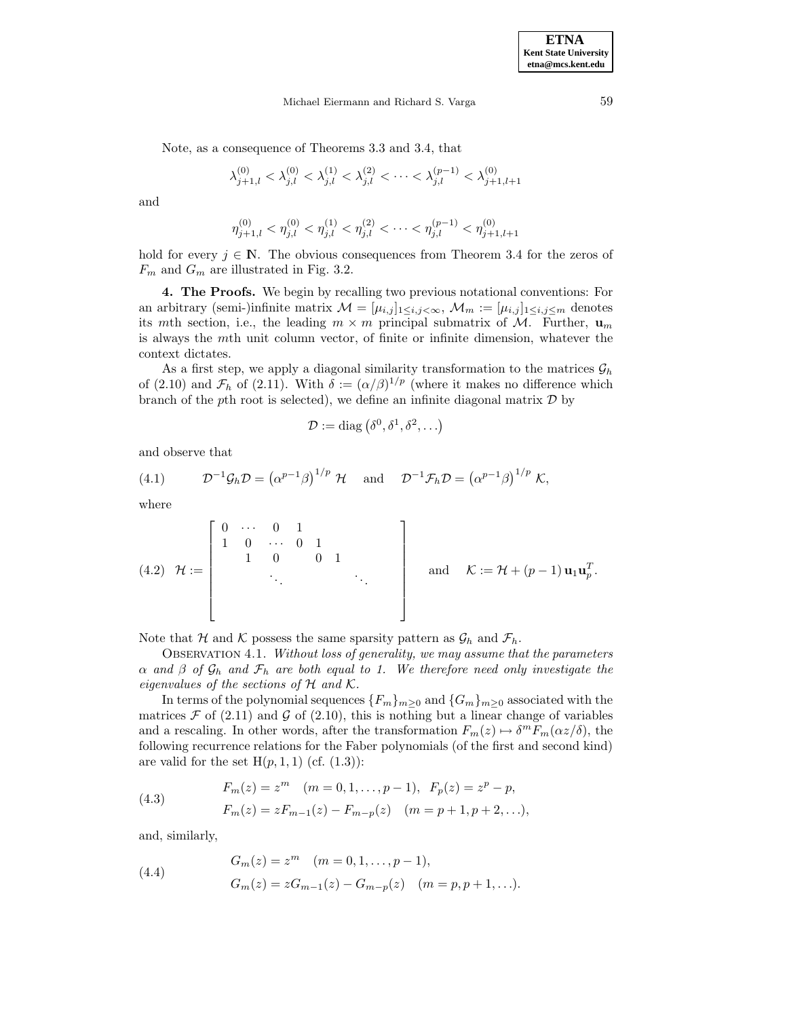Michael Eiermann and Richard S. Varga 59

Note, as a consequence of Theorems 3.3 and 3.4, that

$$
\lambda_{j+1,l}^{(0)} < \lambda_{j,l}^{(0)} < \lambda_{j,l}^{(1)} < \lambda_{j,l}^{(2)} < \cdots < \lambda_{j,l}^{(p-1)} < \lambda_{j+1,l+1}^{(0)}
$$

and

$$
\eta_{j+1,l}^{(0)}<\eta_{j,l}^{(0)}<\eta_{j,l}^{(1)}<\eta_{j,l}^{(2)}<\cdots<\eta_{j,l}^{(p-1)}<\eta_{j+1,l+1}^{(0)}
$$

hold for every  $j \in \mathbb{N}$ . The obvious consequences from Theorem 3.4 for the zeros of  $F_m$  and  $G_m$  are illustrated in Fig. 3.2.

**4. The Proofs.** We begin by recalling two previous notational conventions: For an arbitrary (semi-)infinite matrix  $\mathcal{M} = [\mu_{i,j}]_{1 \le i,j \le \infty}$ ,  $\mathcal{M}_m := [\mu_{i,j}]_{1 \le i,j \le m}$  denotes its mth section, i.e., the leading  $m \times m$  principal submatrix of M. Further,  $\mathbf{u}_m$ is always the mth unit column vector, of finite or infinite dimension, whatever the context dictates.

As a first step, we apply a diagonal similarity transformation to the matrices  $\mathcal{G}_h$ of (2.10) and  $\mathcal{F}_h$  of (2.11). With  $\delta := (\alpha/\beta)^{1/p}$  (where it makes no difference which branch of the pth root is selected), we define an infinite diagonal matrix  $\mathcal D$  by

$$
\mathcal{D} := \text{diag}(\delta^0, \delta^1, \delta^2, \ldots)
$$

and observe that

(4.1) 
$$
\mathcal{D}^{-1}\mathcal{G}_h \mathcal{D} = (\alpha^{p-1}\beta)^{1/p} \mathcal{H} \text{ and } \mathcal{D}^{-1}\mathcal{F}_h \mathcal{D} = (\alpha^{p-1}\beta)^{1/p} \mathcal{K},
$$

where

(4.2) 
$$
\mathcal{H} := \begin{bmatrix} 0 & \cdots & 0 & 1 \\ 1 & 0 & \cdots & 0 & 1 \\ & & 1 & 0 & 0 & 1 \\ & & & & \ddots & & \\ & & & & & \ddots & \\ & & & & & & \ddots \end{bmatrix}
$$
 and  $\mathcal{K} := \mathcal{H} + (p-1) \mathbf{u}_1 \mathbf{u}_p^T$ .

Note that H and K possess the same sparsity pattern as  $\mathcal{G}_h$  and  $\mathcal{F}_h$ .

OBSERVATION 4.1. Without loss of generality, we may assume that the parameters  $\alpha$  and  $\beta$  of  $\mathcal{G}_h$  and  $\mathcal{F}_h$  are both equal to 1. We therefore need only investigate the eigenvalues of the sections of  $H$  and  $K$ .

In terms of the polynomial sequences  ${F_m}_{m>0}$  and  ${G_m}_{m>0}$  associated with the matrices  $\mathcal F$  of (2.11) and  $\mathcal G$  of (2.10), this is nothing but a linear change of variables and a rescaling. In other words, after the transformation  $F_m(z) \mapsto \delta^m F_m(\alpha z/\delta)$ , the following recurrence relations for the Faber polynomials (of the first and second kind) are valid for the set  $H(p, 1, 1)$  (cf.  $(1.3)$ ):

(4.3) 
$$
F_m(z) = z^m \quad (m = 0, 1, ..., p - 1), \quad F_p(z) = z^p - p,
$$

$$
F_m(z) = zF_{m-1}(z) - F_{m-p}(z) \quad (m = p + 1, p + 2, ...),
$$

and, similarly,

(4.4) 
$$
G_m(z) = z^m \quad (m = 0, 1, ..., p - 1),
$$

$$
G_m(z) = zG_{m-1}(z) - G_{m-p}(z) \quad (m = p, p + 1, ...).
$$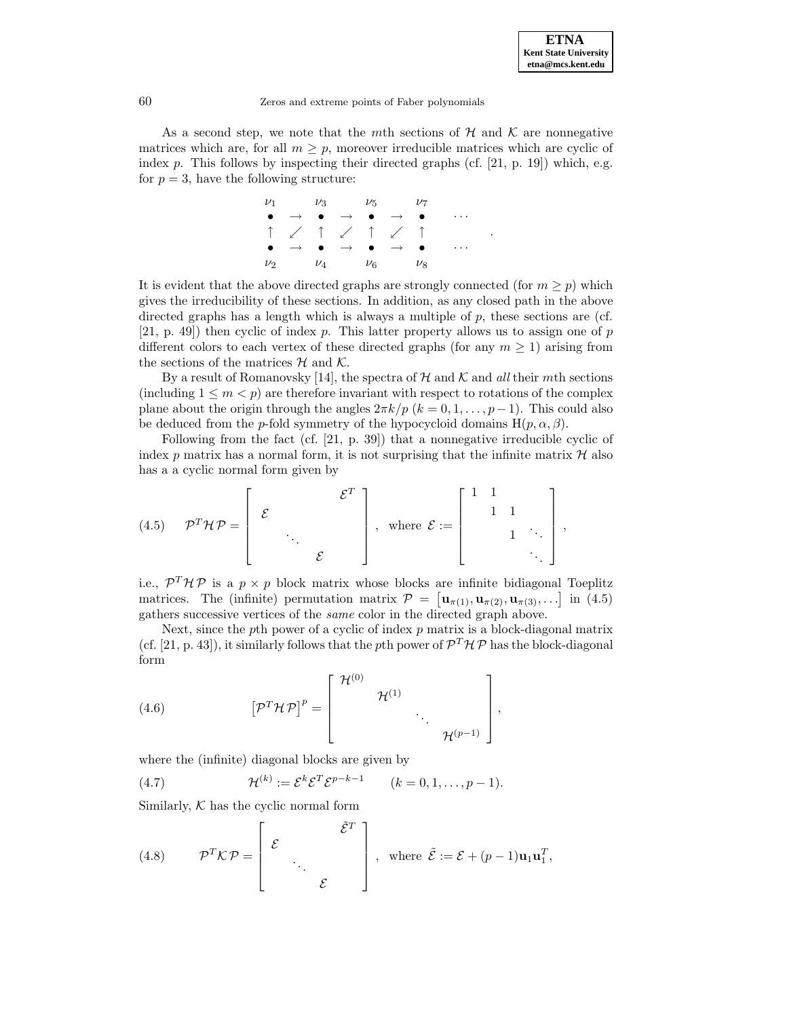.

#### 60 Zeros and extreme points of Faber polynomials

As a second step, we note that the mth sections of  $\mathcal H$  and  $\mathcal K$  are nonnegative matrices which are, for all  $m \geq p$ , moreover irreducible matrices which are cyclic of index  $p$ . This follows by inspecting their directed graphs (cf. [21, p. 19]) which, e.g. for  $p = 3$ , have the following structure:

$$
\begin{array}{ccccccc}\n\nu_1 & \nu_3 & \nu_5 & \nu_7 \\
\bullet & \rightarrow & \bullet & \rightarrow & \bullet & \rightarrow & \bullet & \cdots \\
\uparrow & \swarrow & \uparrow & \swarrow & \uparrow & \swarrow & \uparrow \\
\bullet & \rightarrow & \bullet & \rightarrow & \bullet & \rightarrow & \bullet & \cdots \\
\nu_2 & \nu_4 & \nu_6 & \nu_8 & \cdots\n\end{array}
$$

It is evident that the above directed graphs are strongly connected (for  $m \geq p$ ) which gives the irreducibility of these sections. In addition, as any closed path in the above directed graphs has a length which is always a multiple of  $p$ , these sections are (cf.  $[21, p. 49]$  then cyclic of index p. This latter property allows us to assign one of p different colors to each vertex of these directed graphs (for any  $m \geq 1$ ) arising from the sections of the matrices  $H$  and  $K$ .

By a result of Romanovsky [14], the spectra of  $H$  and  $K$  and all their mth sections (including  $1 \leq m < p$ ) are therefore invariant with respect to rotations of the complex plane about the origin through the angles  $2\pi k/p$  ( $k = 0, 1, \ldots, p-1$ ). This could also be deduced from the p-fold symmetry of the hypocycloid domains  $H(p, \alpha, \beta)$ .

Following from the fact (cf. [21, p. 39]) that a nonnegative irreducible cyclic of index p matrix has a normal form, it is not surprising that the infinite matrix  $\mathcal H$  also has a a cyclic normal form given by

$$
(4.5) \quad \mathcal{P}^T \mathcal{H} \mathcal{P} = \left[ \begin{array}{ccc} & & \mathcal{E}^T \\ \mathcal{E} & & \\ & \ddots & \\ & & \mathcal{E} \end{array} \right], \text{ where } \mathcal{E} := \left[ \begin{array}{ccc} 1 & 1 & & \\ & 1 & 1 & \\ & & 1 & \ddots \\ & & & & \ddots \end{array} \right],
$$

i.e.,  $\mathcal{P}^T \mathcal{H} \mathcal{P}$  is a  $p \times p$  block matrix whose blocks are infinite bidiagonal Toeplitz matrices. The (infinite) permutation matrix  $\mathcal{P} = [\mathbf{u}_{\pi(1)}, \mathbf{u}_{\pi(2)}, \mathbf{u}_{\pi(3)}, \ldots]$  in (4.5) gathers successive vertices of the same color in the directed graph above.

Next, since the pth power of a cyclic of index  $p$  matrix is a block-diagonal matrix (cf. [21, p. 43]), it similarly follows that the pth power of  $\mathcal{P}^T\mathcal{H}\mathcal{P}$  has the block-diagonal form

(4.6) 
$$
\left[\mathcal{P}^T \mathcal{H} \mathcal{P}\right]^p = \left[\begin{array}{ccc} \mathcal{H}^{(0)} & & \\ & \mathcal{H}^{(1)} & \\ & & \ddots \\ & & & \mathcal{H}^{(p-1)} \end{array}\right],
$$

where the (infinite) diagonal blocks are given by

(4.7) 
$$
\mathcal{H}^{(k)} := \mathcal{E}^{k} \mathcal{E}^{T} \mathcal{E}^{p-k-1} \qquad (k = 0, 1, ..., p-1).
$$

Similarly,  $K$  has the cyclic normal form

(4.8) 
$$
\mathcal{P}^T \mathcal{K} \mathcal{P} = \begin{bmatrix} \mathcal{E} & \mathcal{E}^T \\ \mathcal{E} & \mathcal{E} \end{bmatrix}, \text{ where } \mathcal{E} := \mathcal{E} + (p-1)\mathbf{u}_1 \mathbf{u}_1^T,
$$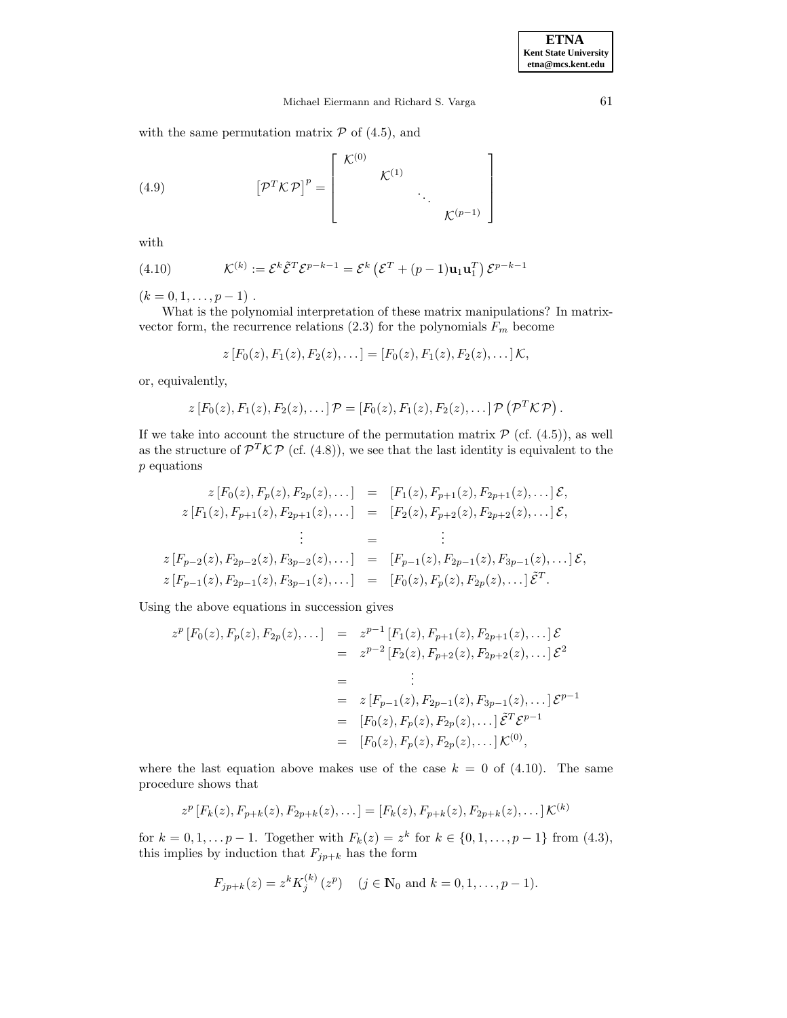## Michael Eiermann and Richard S. Varga 61

with the same permutation matrix  $P$  of (4.5), and

(4.9) 
$$
\left[\mathcal{P}^T\mathcal{K}\mathcal{P}\right]^p = \left[\begin{array}{cccc} \mathcal{K}^{(0)} & & & \\ & \mathcal{K}^{(1)} & & \\ & & \ddots & \\ & & & \mathcal{K}^{(p-1)}\end{array}\right]
$$

with

(4.10) 
$$
\mathcal{K}^{(k)} := \mathcal{E}^k \tilde{\mathcal{E}}^T \mathcal{E}^{p-k-1} = \mathcal{E}^k \left( \mathcal{E}^T + (p-1) \mathbf{u}_1 \mathbf{u}_1^T \right) \mathcal{E}^{p-k-1}
$$

 $(k = 0, 1, \ldots, p - 1)$ .

What is the polynomial interpretation of these matrix manipulations? In matrixvector form, the recurrence relations  $(2.3)$  for the polynomials  $F_m$  become

$$
z[F_0(z), F_1(z), F_2(z), \dots] = [F_0(z), F_1(z), F_2(z), \dots] \mathcal{K},
$$

or, equivalently,

$$
z [F_0(z), F_1(z), F_2(z), \dots] \mathcal{P} = [F_0(z), F_1(z), F_2(z), \dots] \mathcal{P} (\mathcal{P}^T \mathcal{K} \mathcal{P}).
$$

If we take into account the structure of the permutation matrix  $P$  (cf. (4.5)), as well as the structure of  $\mathcal{P}^T\mathcal{KP}$  (cf. (4.8)), we see that the last identity is equivalent to the p equations

$$
z [F_0(z), F_p(z), F_{2p}(z), \dots] = [F_1(z), F_{p+1}(z), F_{2p+1}(z), \dots] \mathcal{E},
$$
  
\n
$$
z [F_1(z), F_{p+1}(z), F_{2p+1}(z), \dots] = [F_2(z), F_{p+2}(z), F_{2p+2}(z), \dots] \mathcal{E},
$$
  
\n
$$
\vdots
$$
  
\n
$$
z [F_{p-2}(z), F_{2p-2}(z), F_{3p-2}(z), \dots] = [F_{p-1}(z), F_{2p-1}(z), F_{3p-1}(z), \dots] \mathcal{E},
$$
  
\n
$$
z [F_{p-1}(z), F_{2p-1}(z), F_{3p-1}(z), \dots] = [F_0(z), F_p(z), F_{2p}(z), \dots] \mathcal{E}^T.
$$

Using the above equations in succession gives

$$
z^{p}[F_0(z), F_p(z), F_{2p}(z), \dots] = z^{p-1}[F_1(z), F_{p+1}(z), F_{2p+1}(z), \dots] \mathcal{E}
$$
  
\n
$$
= z^{p-2}[F_2(z), F_{p+2}(z), F_{2p+2}(z), \dots] \mathcal{E}^{2}
$$
  
\n
$$
= \vdots
$$
  
\n
$$
= z[F_{p-1}(z), F_{2p-1}(z), F_{3p-1}(z), \dots] \mathcal{E}^{p-1}
$$
  
\n
$$
= [F_0(z), F_p(z), F_{2p}(z), \dots] \mathcal{E}^{T} \mathcal{E}^{p-1}
$$
  
\n
$$
= [F_0(z), F_p(z), F_{2p}(z), \dots] \mathcal{K}^{(0)},
$$

where the last equation above makes use of the case  $k = 0$  of (4.10). The same procedure shows that

$$
z^{p}[F_{k}(z), F_{p+k}(z), F_{2p+k}(z), \ldots] = [F_{k}(z), F_{p+k}(z), F_{2p+k}(z), \ldots] \mathcal{K}^{(k)}
$$

for  $k = 0, 1, \ldots p - 1$ . Together with  $F_k(z) = z^k$  for  $k \in \{0, 1, \ldots, p - 1\}$  from  $(4.3)$ , this implies by induction that  $F_{jp+k}$  has the form

$$
F_{jp+k}(z) = z^k K_j^{(k)}(z^p) \quad (j \in \mathbb{N}_0 \text{ and } k = 0, 1, ..., p-1).
$$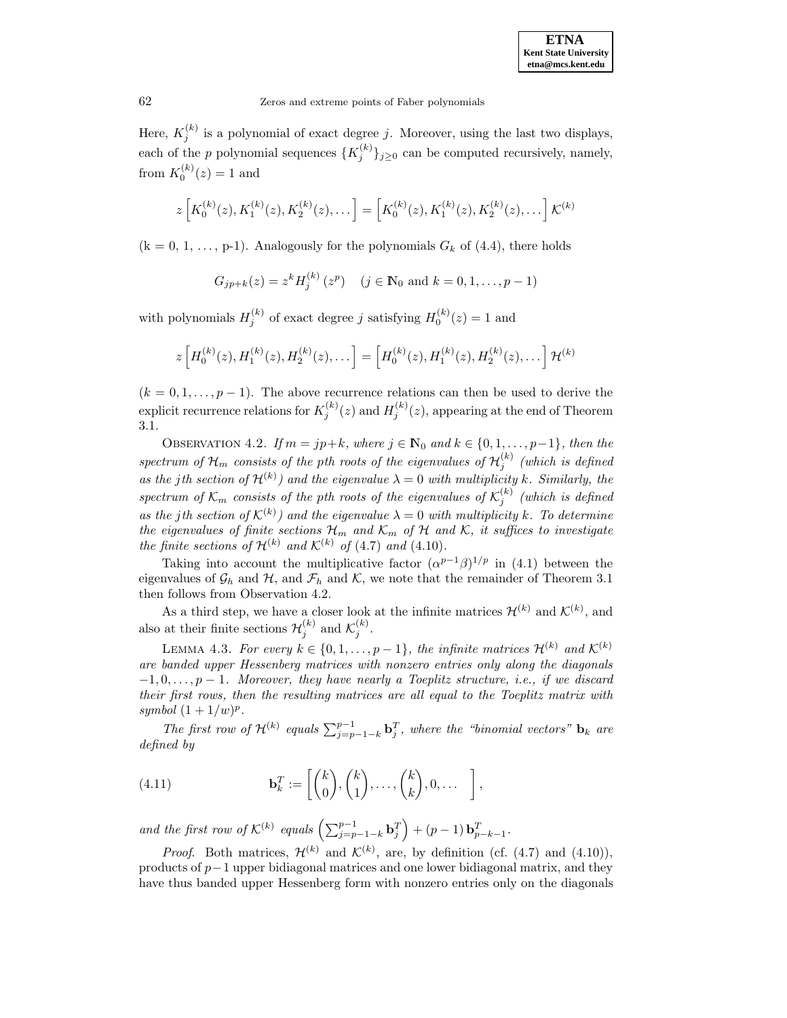Here,  $K_j^{(k)}$  is a polynomial of exact degree j. Moreover, using the last two displays, each of the p polynomial sequences  $\{K_j^{(k)}\}_{j\geq 0}$  can be computed recursively, namely, from  $K_0^{(k)}(z) = 1$  and

$$
z\left[K_0^{(k)}(z), K_1^{(k)}(z), K_2^{(k)}(z), \ldots\right] = \left[K_0^{(k)}(z), K_1^{(k)}(z), K_2^{(k)}(z), \ldots\right] \mathcal{K}^{(k)}
$$

 $(k = 0, 1, \ldots, p-1)$ . Analogously for the polynomials  $G_k$  of (4.4), there holds

$$
G_{jp+k}(z) = z^k H_j^{(k)}(z^p)
$$
  $(j \in \mathbb{N}_0 \text{ and } k = 0, 1, ..., p-1)$ 

with polynomials  $H_j^{(k)}$  of exact degree j satisfying  $H_0^{(k)}(z) = 1$  and

$$
z\left[H_0^{(k)}(z), H_1^{(k)}(z), H_2^{(k)}(z), \ldots\right] = \left[H_0^{(k)}(z), H_1^{(k)}(z), H_2^{(k)}(z), \ldots\right] \mathcal{H}^{(k)}
$$

 $(k = 0, 1, \ldots, p - 1)$ . The above recurrence relations can then be used to derive the explicit recurrence relations for  $K_j^{(k)}(z)$  and  $H_j^{(k)}(z)$ , appearing at the end of Theorem 3.1.

OBSERVATION 4.2. If  $m = jp+k$ , where  $j \in \mathbb{N}_0$  and  $k \in \{0, 1, \ldots, p-1\}$ , then the spectrum of  $\mathcal{H}_m$  consists of the pth roots of the eigenvalues of  $\mathcal{H}^{(k)}_j$  (which is defined as the jth section of  $\mathcal{H}^{(k)}$  and the eigenvalue  $\lambda = 0$  with multiplicity k. Similarly, the spectrum of  $\mathcal{K}_m$  consists of the pth roots of the eigenvalues of  $\mathcal{K}_j^{(k)}$  (which is defined as the jth section of  $\mathcal{K}^{(k)}$  and the eigenvalue  $\lambda = 0$  with multiplicity k. To determine the eigenvalues of finite sections  $\mathcal{H}_m$  and  $\mathcal{K}_m$  of  $\mathcal H$  and  $\mathcal K$ , it suffices to investigate the finite sections of  $\mathcal{H}^{(k)}$  and  $\mathcal{K}^{(k)}$  of (4.7) and (4.10).

Taking into account the multiplicative factor  $(\alpha^{p-1}\beta)^{1/p}$  in (4.1) between the eigenvalues of  $\mathcal{G}_h$  and  $\mathcal{H}$ , and  $\mathcal{F}_h$  and  $\mathcal{K}$ , we note that the remainder of Theorem 3.1 then follows from Observation 4.2.

As a third step, we have a closer look at the infinite matrices  $\mathcal{H}^{(k)}$  and  $\mathcal{K}^{(k)}$ , and also at their finite sections  $\mathcal{H}_j^{(k)}$  and  $\mathcal{K}_j^{(k)}$ .

LEMMA 4.3. For every  $k \in \{0, 1, ..., p-1\}$ , the infinite matrices  $\mathcal{H}^{(k)}$  and  $\mathcal{K}^{(k)}$ are banded upper Hessenberg matrices with nonzero entries only along the diagonals  $-1, 0, \ldots, p-1$ . Moreover, they have nearly a Toeplitz structure, i.e., if we discard their first rows, then the resulting matrices are all equal to the Toeplitz matrix with symbol  $(1+1/w)^p$ .

The first row of  $\mathcal{H}^{(k)}$  equals  $\sum_{j=p-1-k}^{p-1} \mathbf{b}_j^T$ , where the "binomial vectors"  $\mathbf{b}_k$  are defined by

(4.11) 
$$
\mathbf{b}_k^T := \begin{bmatrix} k \\ 0 \end{bmatrix}, \begin{pmatrix} k \\ 1 \end{pmatrix}, \dots, \begin{pmatrix} k \\ k \end{pmatrix}, 0, \dots \quad \bigg],
$$

and the first row of  $\mathcal{K}^{(k)}$  equals  $\left(\sum_{j=p-1-k}^{p-1} \mathbf{b}_j^T\right) + (p-1) \mathbf{b}_{p-k-1}^T$ .

*Proof.* Both matrices,  $\mathcal{H}^{(k)}$  and  $\mathcal{K}^{(k)}$ , are, by definition (cf. (4.7) and (4.10)), products of  $p-1$  upper bidiagonal matrices and one lower bidiagonal matrix, and they have thus banded upper Hessenberg form with nonzero entries only on the diagonals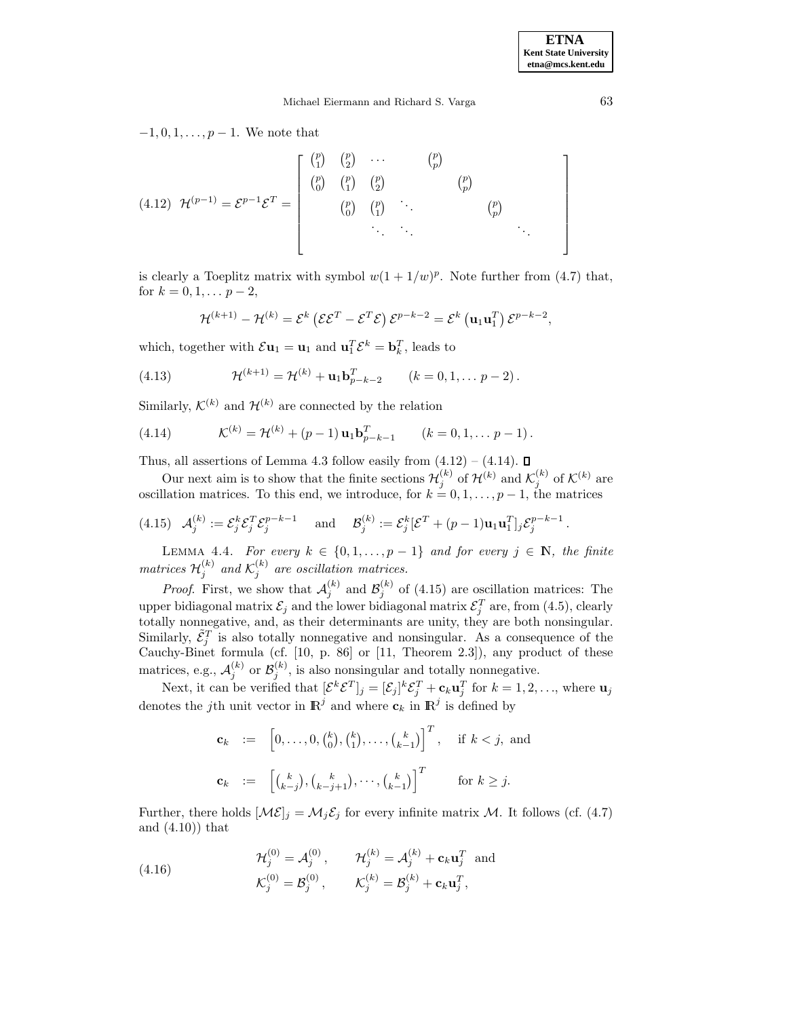$-1, 0, 1, \ldots, p-1$ . We note that

$$
(4.12) \ \mathcal{H}^{(p-1)} = \mathcal{E}^{p-1}\mathcal{E}^T = \begin{bmatrix} {p \choose 1} & {p \choose 2} & \cdots & {p \choose p} \\ {p \choose 0} & {p \choose 1} & {p \choose 2} & {p \choose p} \\ & & {p \choose 0} & {p \choose 1} & \ddots & {p \choose p} \\ & & & & \ddots & \ddots & \ddots \end{bmatrix}
$$

is clearly a Toeplitz matrix with symbol  $w(1 + 1/w)^p$ . Note further from (4.7) that, for  $k = 0, 1, \ldots p-2$ ,

$$
\mathcal{H}^{(k+1)} - \mathcal{H}^{(k)} = \mathcal{E}^{k} (\mathcal{E} \mathcal{E}^{T} - \mathcal{E}^{T} \mathcal{E}) \mathcal{E}^{p-k-2} = \mathcal{E}^{k} (\mathbf{u}_{1} \mathbf{u}_{1}^{T}) \mathcal{E}^{p-k-2},
$$

which, together with  $\mathcal{E} \mathbf{u}_1 = \mathbf{u}_1$  and  $\mathbf{u}_1^T \mathcal{E}^k = \mathbf{b}_k^T$ , leads to

(4.13) 
$$
\mathcal{H}^{(k+1)} = \mathcal{H}^{(k)} + \mathbf{u}_1 \mathbf{b}_{p-k-2}^T \qquad (k = 0, 1, \dots p-2).
$$

Similarly,  $\mathcal{K}^{(k)}$  and  $\mathcal{H}^{(k)}$  are connected by the relation

(4.14) 
$$
\mathcal{K}^{(k)} = \mathcal{H}^{(k)} + (p-1)\mathbf{u}_1 \mathbf{b}_{p-k-1}^T \qquad (k = 0, 1, \dots p-1).
$$

Thus, all assertions of Lemma 4.3 follow easily from  $(4.12) - (4.14)$ .  $\Box$ 

Our next aim is to show that the finite sections  $\mathcal{H}_j^{(k)}$  of  $\mathcal{H}^{(k)}$  and  $\mathcal{K}_j^{(k)}$  of  $\mathcal{K}^{(k)}$  are oscillation matrices. To this end, we introduce, for  $k = 0, 1, \ldots, p - 1$ , the matrices

$$
(4.15) \quad \mathcal{A}_{j}^{(k)} := \mathcal{E}_{j}^{k} \mathcal{E}_{j}^{T} \mathcal{E}_{j}^{p-k-1} \quad \text{and} \quad \mathcal{B}_{j}^{(k)} := \mathcal{E}_{j}^{k} [\mathcal{E}^{T} + (p-1)\mathbf{u}_{1} \mathbf{u}_{1}^{T}]_{j} \mathcal{E}_{j}^{p-k-1}.
$$

LEMMA 4.4. For every  $k \in \{0, 1, ..., p-1\}$  and for every  $j \in \mathbb{N}$ , the finite matrices  $\mathcal{H}_j^{(k)}$  and  $\mathcal{K}_j^{(k)}$  are oscillation matrices.

*Proof.* First, we show that  $\mathcal{A}_{j}^{(k)}$  and  $\mathcal{B}_{j}^{(k)}$  of (4.15) are oscillation matrices: The upper bidiagonal matrix  $\mathcal{E}_j$  and the lower bidiagonal matrix  $\mathcal{E}_j^T$  are, from (4.5), clearly totally nonnegative, and, as their determinants are unity, they are both nonsingular. Similarly,  $\tilde{\mathcal{E}}_j^T$  is also totally nonnegative and nonsingular. As a consequence of the Cauchy-Binet formula  $(cf. [10, p. 86]$  or  $[11, Theorem 2.3]$ , any product of these matrices, e.g.,  $\mathcal{A}_{j}^{(k)}$  or  $\mathcal{B}_{j}^{(k)}$ , is also nonsingular and totally nonnegative.

Next, it can be verified that  $[\mathcal{E}^k \mathcal{E}^T]_j = [\mathcal{E}_j]^k \mathcal{E}_j^T + \mathbf{c}_k \mathbf{u}_j^T$  for  $k = 1, 2, ...,$  where  $\mathbf{u}_j$ denotes the j<sup>th</sup> unit vector in  $\mathbb{R}^j$  and where  $\mathbf{c}_k$  in  $\mathbb{R}^j$  is defined by

$$
\mathbf{c}_k := \left[0, \ldots, 0, \binom{k}{0}, \binom{k}{1}, \ldots, \binom{k}{k-1}\right]^T, \quad \text{if } k < j, \text{ and}
$$
\n
$$
\mathbf{c}_k := \left[\binom{k}{k-j}, \binom{k}{k-j+1}, \cdots, \binom{k}{k-1}\right]^T \quad \text{for } k \ge j.
$$

Further, there holds  $[\mathcal{ME}]_j = \mathcal{M}_j \mathcal{E}_j$  for every infinite matrix  $\mathcal{M}$ . It follows (cf. (4.7) and (4.10)) that

(4.16) 
$$
\mathcal{H}_j^{(0)} = \mathcal{A}_j^{(0)}, \qquad \mathcal{H}_j^{(k)} = \mathcal{A}_j^{(k)} + \mathbf{c}_k \mathbf{u}_j^T \text{ and}
$$

$$
\mathcal{K}_j^{(0)} = \mathcal{B}_j^{(0)}, \qquad \mathcal{K}_j^{(k)} = \mathcal{B}_j^{(k)} + \mathbf{c}_k \mathbf{u}_j^T,
$$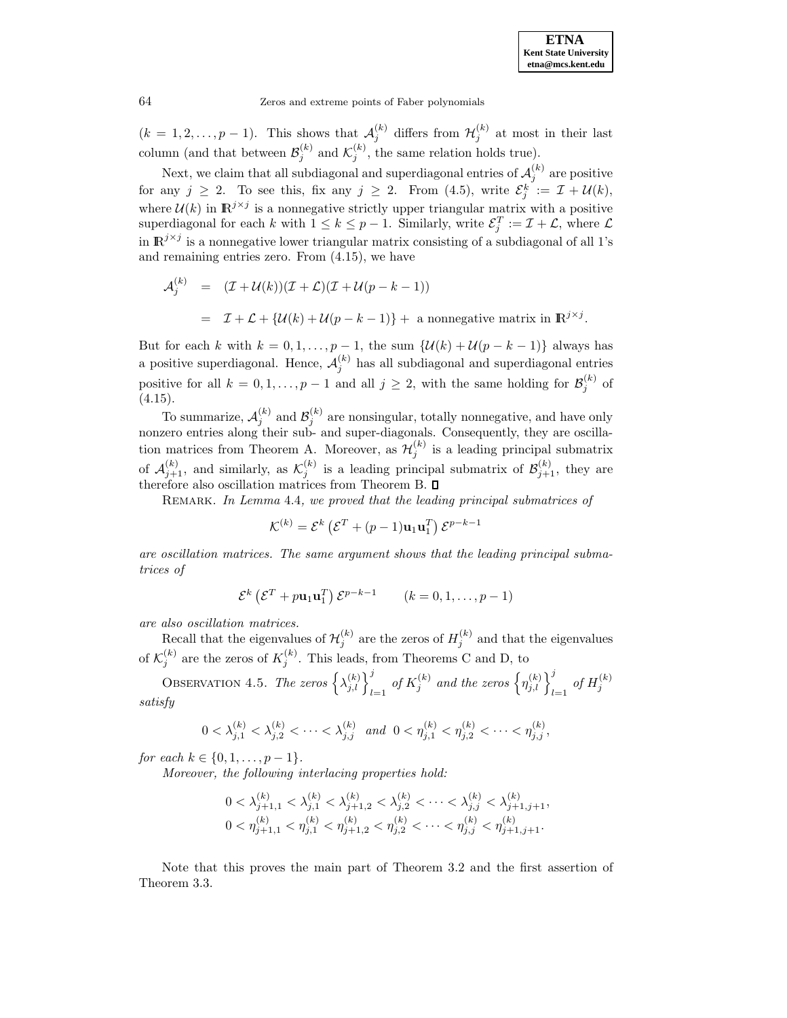$(k = 1, 2, \ldots, p - 1)$ . This shows that  $\mathcal{A}_{j}^{(k)}$  differs from  $\mathcal{H}_{j}^{(k)}$  at most in their last column (and that between  $\mathcal{B}_j^{(k)}$  and  $\mathcal{K}_j^{(k)}$ , the same relation holds true).

Next, we claim that all subdiagonal and superdiagonal entries of  $\mathcal{A}_j^{(k)}$  are positive for any  $j \geq 2$ . To see this, fix any  $j \geq 2$ . From (4.5), write  $\mathcal{E}_j^k := \mathcal{I} + \mathcal{U}(k)$ , where  $\mathcal{U}(k)$  in  $\mathbb{R}^{j \times j}$  is a nonnegative strictly upper triangular matrix with a positive superdiagonal for each k with  $1 \leq k \leq p-1$ . Similarly, write  $\mathcal{E}_j^T := \mathcal{I} + \mathcal{L}$ , where  $\mathcal{L}$ in  $\mathbb{R}^{j \times j}$  is a nonnegative lower triangular matrix consisting of a subdiagonal of all 1's and remaining entries zero. From (4.15), we have

$$
\mathcal{A}_{j}^{(k)} = (\mathcal{I} + \mathcal{U}(k))(\mathcal{I} + \mathcal{L})(\mathcal{I} + \mathcal{U}(p - k - 1))
$$
  
=  $\mathcal{I} + \mathcal{L} + {\mathcal{U}(k) + \mathcal{U}(p - k - 1)} + \text{ a nonnegative matrix in } \mathbb{R}^{j \times j}.$ 

But for each k with  $k = 0, 1, \ldots, p - 1$ , the sum  $\{\mathcal{U}(k) + \mathcal{U}(p - k - 1)\}\)$  always has a positive superdiagonal. Hence,  $\mathcal{A}_{j}^{(k)}$  has all subdiagonal and superdiagonal entries positive for all  $k = 0, 1, ..., p - 1$  and all  $j \geq 2$ , with the same holding for  $\mathcal{B}_{j}^{(k)}$  of (4.15).

To summarize,  $\mathcal{A}_{j}^{(k)}$  and  $\mathcal{B}_{j}^{(k)}$  are nonsingular, totally nonnegative, and have only nonzero entries along their sub- and super-diagonals. Consequently, they are oscillation matrices from Theorem A. Moreover, as  $\mathcal{H}_j^{(k)}$  is a leading principal submatrix of  $\mathcal{A}_{j+1}^{(k)}$ , and similarly, as  $\mathcal{K}_j^{(k)}$  is a leading principal submatrix of  $\mathcal{B}_{j+1}^{(k)}$ , they are therefore also oscillation matrices from Theorem B.  $\square$ 

REMARK. In Lemma 4.4, we proved that the leading principal submatrices of

$$
\mathcal{K}^{(k)} = \mathcal{E}^{k} \left( \mathcal{E}^{T} + (p-1)\mathbf{u}_{1} \mathbf{u}_{1}^{T} \right) \mathcal{E}^{p-k-1}
$$

are oscillation matrices. The same argument shows that the leading principal submatrices of

$$
\mathcal{E}^{k} \left( \mathcal{E}^{T} + p \mathbf{u}_{1} \mathbf{u}_{1}^{T} \right) \mathcal{E}^{p-k-1} \qquad (k = 0, 1, \dots, p-1)
$$

are also oscillation matrices.

Recall that the eigenvalues of  $\mathcal{H}_j^{(k)}$  are the zeros of  $H_j^{(k)}$  and that the eigenvalues of  $\mathcal{K}_j^{(k)}$  are the zeros of  $K_j^{(k)}$ . This leads, from Theorems C and D, to

OBSERVATION 4.5. The zeros  $\left\{\lambda_{j,l}^{(k)}\right\}_{l=1}^j$  of  $K_j^{(k)}$  and the zeros  $\left\{\eta_{j,l}^{(k)}\right\}_{l=1}^j$  of  $H_j^{(k)}$ satisfy

$$
0 < \lambda_{j,1}^{(k)} < \lambda_{j,2}^{(k)} < \cdots < \lambda_{j,j}^{(k)} \quad \text{and} \quad 0 < \eta_{j,1}^{(k)} < \eta_{j,2}^{(k)} < \cdots < \eta_{j,j}^{(k)},
$$

for each  $k \in \{0, 1, \ldots, p-1\}$ .

Moreover, the following interlacing properties hold:

$$
\begin{aligned} &0<\lambda_{j+1,1}^{(k)}<\lambda_{j,1}^{(k)}<\lambda_{j+1,2}^{(k)}<\lambda_{j,2}^{(k)}<\cdots<\lambda_{j,j}^{(k)}<\lambda_{j+1,j+1}^{(k)},\\ &0<\eta_{j+1,1}^{(k)}<\eta_{j,1}^{(k)}<\eta_{j+1,2}^{(k)}<\eta_{j,2}^{(k)}<\cdots<\eta_{j,j}^{(k)}<\eta_{j+1,j+1}^{(k)}.\end{aligned}
$$

Note that this proves the main part of Theorem 3.2 and the first assertion of Theorem 3.3.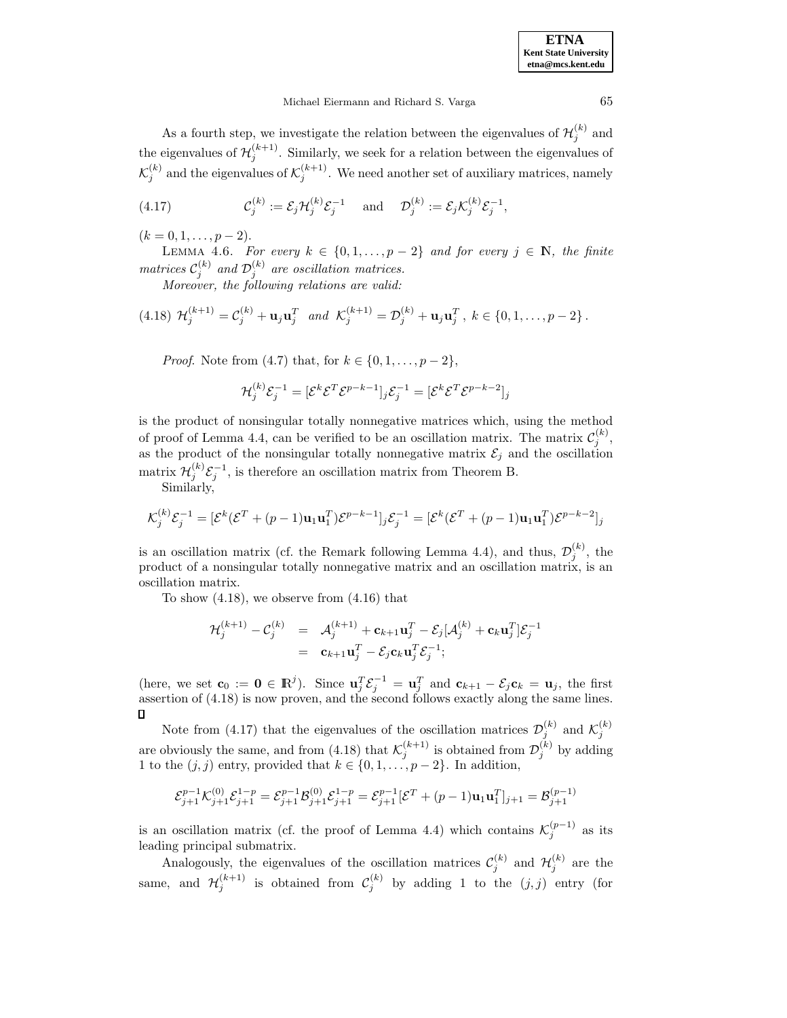As a fourth step, we investigate the relation between the eigenvalues of  $\mathcal{H}_j^{(k)}$  and the eigenvalues of  $\mathcal{H}_j^{(k+1)}$ . Similarly, we seek for a relation between the eigenvalues of  $\mathcal{K}_j^{(k)}$  and the eigenvalues of  $\mathcal{K}_j^{(k+1)}$ . We need another set of auxiliary matrices, namely

(4.17) 
$$
\mathcal{C}_j^{(k)} := \mathcal{E}_j \mathcal{H}_j^{(k)} \mathcal{E}_j^{-1} \quad \text{and} \quad \mathcal{D}_j^{(k)} := \mathcal{E}_j \mathcal{K}_j^{(k)} \mathcal{E}_j^{-1},
$$

 $(k = 0, 1, \ldots, p - 2).$ 

LEMMA 4.6. For every  $k \in \{0, 1, \ldots, p-2\}$  and for every  $j \in \mathbb{N}$ , the finite matrices  $\mathcal{C}_j^{(k)}$  and  $\mathcal{D}_j^{(k)}$  are oscillation matrices.

Moreover, the following relations are valid:

$$
(4.18) \ \mathcal{H}_j^{(k+1)} = \mathcal{C}_j^{(k)} + \mathbf{u}_j \mathbf{u}_j^T \ \text{ and } \ \mathcal{K}_j^{(k+1)} = \mathcal{D}_j^{(k)} + \mathbf{u}_j \mathbf{u}_j^T, \ k \in \{0, 1, \dots, p-2\} \, .
$$

*Proof.* Note from (4.7) that, for  $k \in \{0, 1, ..., p-2\}$ ,

$$
\mathcal{H}_j^{(k)} \mathcal{E}_j^{-1} = [\mathcal{E}^k \mathcal{E}^T \mathcal{E}^{p-k-1}]_j \mathcal{E}_j^{-1} = [\mathcal{E}^k \mathcal{E}^T \mathcal{E}^{p-k-2}]_j
$$

is the product of nonsingular totally nonnegative matrices which, using the method of proof of Lemma 4.4, can be verified to be an oscillation matrix. The matrix  $\mathcal{C}_j^{(k)}$ , as the product of the nonsingular totally nonnegative matrix  $\mathcal{E}_j$  and the oscillation matrix  $\mathcal{H}_j^{(k)} \mathcal{E}_j^{-1}$ , is therefore an oscillation matrix from Theorem B.

Similarly,

$$
\mathcal{K}_j^{(k)} \mathcal{E}_j^{-1} = [\mathcal{E}^k(\mathcal{E}^T + (p-1)\mathbf{u}_1 \mathbf{u}_1^T)\mathcal{E}^{p-k-1}]_j \mathcal{E}_j^{-1} = [\mathcal{E}^k(\mathcal{E}^T + (p-1)\mathbf{u}_1 \mathbf{u}_1^T)\mathcal{E}^{p-k-2}]_j
$$

is an oscillation matrix (cf. the Remark following Lemma 4.4), and thus,  $\mathcal{D}_{j}^{(k)}$ , the product of a nonsingular totally nonnegative matrix and an oscillation matrix, is an oscillation matrix.

To show (4.18), we observe from (4.16) that

$$
\mathcal{H}_j^{(k+1)} - \mathcal{C}_j^{(k)} = \mathcal{A}_j^{(k+1)} + \mathbf{c}_{k+1} \mathbf{u}_j^T - \mathcal{E}_j [\mathcal{A}_j^{(k)} + \mathbf{c}_k \mathbf{u}_j^T] \mathcal{E}_j^{-1}
$$
  
=  $\mathbf{c}_{k+1} \mathbf{u}_j^T - \mathcal{E}_j \mathbf{c}_k \mathbf{u}_j^T \mathcal{E}_j^{-1};$ 

(here, we set  $\mathbf{c}_0 := \mathbf{0} \in \mathbb{R}^j$ ). Since  $\mathbf{u}_j^T \mathcal{E}_j^{-1} = \mathbf{u}_j^T$  and  $\mathbf{c}_{k+1} - \mathcal{E}_j \mathbf{c}_k = \mathbf{u}_j$ , the first assertion of (4.18) is now proven, and the second follows exactly along the same lines. D

Note from (4.17) that the eigenvalues of the oscillation matrices  $\mathcal{D}_{j}^{(k)}$  and  $\mathcal{K}_{j}^{(k)}$ are obviously the same, and from (4.18) that  $\mathcal{K}_j^{(k+1)}$  is obtained from  $\mathcal{D}_j^{(k)}$  by adding 1 to the  $(j, j)$  entry, provided that  $k \in \{0, 1, \ldots, p-2\}$ . In addition,

$$
\mathcal{E}_{j+1}^{p-1} \mathcal{K}_{j+1}^{(0)} \mathcal{E}_{j+1}^{1-p} = \mathcal{E}_{j+1}^{p-1} \mathcal{B}_{j+1}^{(0)} \mathcal{E}_{j+1}^{1-p} = \mathcal{E}_{j+1}^{p-1} [\mathcal{E}^T + (p-1)\mathbf{u}_1 \mathbf{u}_1^T]_{j+1} = \mathcal{B}_{j+1}^{(p-1)}
$$

is an oscillation matrix (cf. the proof of Lemma 4.4) which contains  $\mathcal{K}_j^{(p-1)}$  as its leading principal submatrix.

Analogously, the eigenvalues of the oscillation matrices  $\mathcal{C}_j^{(k)}$  and  $\mathcal{H}_j^{(k)}$  are the same, and  $\mathcal{H}_j^{(k+1)}$  is obtained from  $\mathcal{C}_j^{(k)}$  by adding 1 to the  $(j, j)$  entry (for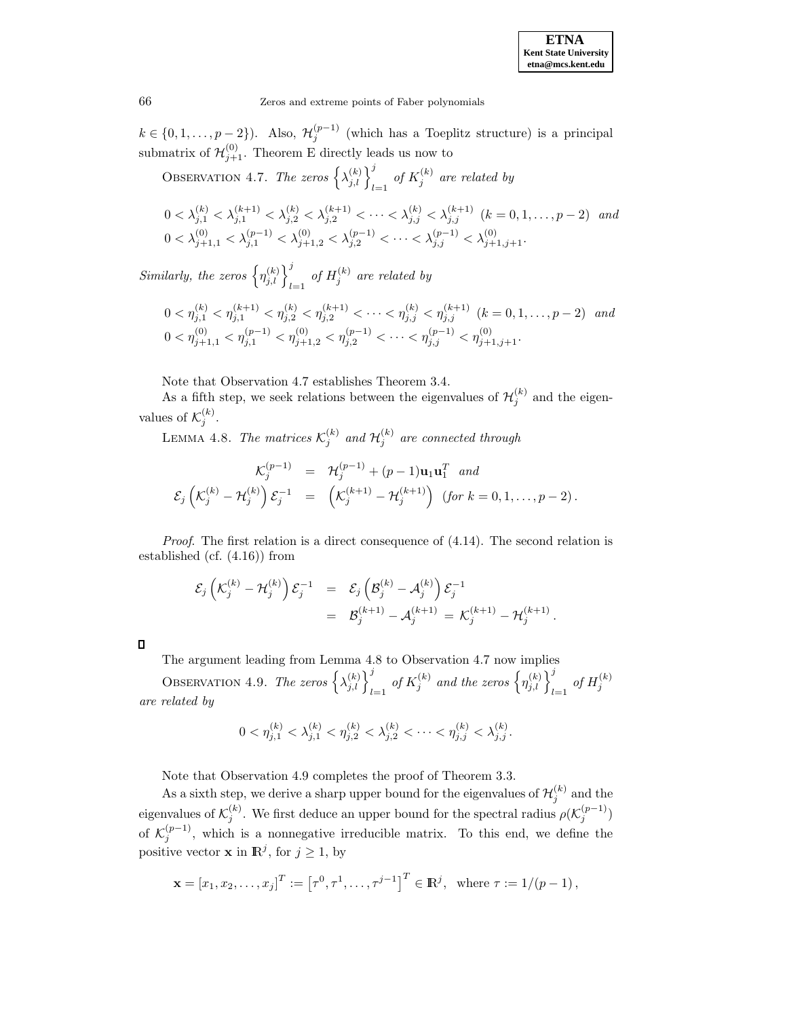$k \in \{0, 1, \ldots, p-2\}$ ). Also,  $\mathcal{H}_j^{(p-1)}$  (which has a Toeplitz structure) is a principal submatrix of  $\mathcal{H}_{j+1}^{(0)}$ . Theorem E directly leads us now to

OBSERVATION 4.7. The zeros  $\left\{\lambda_{j,l}^{(k)}\right\}_{l=1}^j$  of  $K_j^{(k)}$  are related by

$$
0 < \lambda_{j,1}^{(k)} < \lambda_{j,1}^{(k+1)} < \lambda_{j,2}^{(k)} < \lambda_{j,2}^{(k+1)} < \dots < \lambda_{j,j}^{(k)} < \lambda_{j,j}^{(k+1)} \ (k=0,1,\dots,p-2) \ \text{and}
$$
\n
$$
0 < \lambda_{j+1,1}^{(0)} < \lambda_{j,1}^{(p-1)} < \lambda_{j+1,2}^{(0)} < \lambda_{j,2}^{(p-1)} < \dots < \lambda_{j,j}^{(p-1)} < \lambda_{j+1,j+1}^{(0)}.
$$

Similarly, the zeros  $\left\{\eta^{(k)}_{j,l}\right\}_{l=1}^j$  of  $H_j^{(k)}$  are related by

$$
0 < \eta_{j,1}^{(k)} < \eta_{j,1}^{(k+1)} < \eta_{j,2}^{(k)} < \eta_{j,2}^{(k+1)} < \cdots < \eta_{j,j}^{(k)} < \eta_{j,j}^{(k+1)} \quad (k = 0, 1, \dots, p-2) \quad and
$$
\n
$$
0 < \eta_{j+1,1}^{(0)} < \eta_{j,1}^{(p-1)} < \eta_{j+1,2}^{(0)} < \eta_{j,2}^{(p-1)} < \cdots < \eta_{j,j}^{(p-1)} < \eta_{j+1,j+1}^{(0)}.
$$

Note that Observation 4.7 establishes Theorem 3.4.

As a fifth step, we seek relations between the eigenvalues of  $\mathcal{H}_j^{(k)}$  and the eigenvalues of  $\mathcal{K}_j^{(k)}$ .

LEMMA 4.8. The matrices  $\mathcal{K}_j^{(k)}$  and  $\mathcal{H}_j^{(k)}$  are connected through

$$
\mathcal{K}_j^{(p-1)} = \mathcal{H}_j^{(p-1)} + (p-1)\mathbf{u}_1\mathbf{u}_1^T \text{ and}
$$
  

$$
\mathcal{E}_j\left(\mathcal{K}_j^{(k)} - \mathcal{H}_j^{(k)}\right)\mathcal{E}_j^{-1} = \left(\mathcal{K}_j^{(k+1)} - \mathcal{H}_j^{(k+1)}\right) \text{ (for } k = 0, 1, ..., p-2).
$$

*Proof.* The first relation is a direct consequence of  $(4.14)$ . The second relation is established (cf. (4.16)) from

$$
\begin{array}{lcl} \mathcal{E}_{j} \left( \mathcal{K}_{j}^{(k)} - \mathcal{H}_{j}^{(k)} \right) \mathcal{E}_{j}^{-1} & = & \mathcal{E}_{j} \left( \mathcal{B}_{j}^{(k)} - \mathcal{A}_{j}^{(k)} \right) \mathcal{E}_{j}^{-1} \\ & = & \mathcal{B}_{j}^{(k+1)} - \mathcal{A}_{j}^{(k+1)} = \mathcal{K}_{j}^{(k+1)} - \mathcal{H}_{j}^{(k+1)} \, . \end{array}
$$

The argument leading from Lemma 4.8 to Observation 4.7 now implies

OBSERVATION 4.9. The zeros  $\left\{\lambda_{j,l}^{(k)}\right\}_{l=1}^j$  of  $K_j^{(k)}$  and the zeros  $\left\{\eta_{j,l}^{(k)}\right\}_{l=1}^j$  of  $H_j^{(k)}$ are related by

$$
0 < \eta_{j,1}^{(k)} < \lambda_{j,1}^{(k)} < \eta_{j,2}^{(k)} < \lambda_{j,2}^{(k)} < \cdots < \eta_{j,j}^{(k)} < \lambda_{j,j}^{(k)}.
$$

Note that Observation 4.9 completes the proof of Theorem 3.3.

As a sixth step, we derive a sharp upper bound for the eigenvalues of  $\mathcal{H}_j^{(k)}$  and the eigenvalues of  $\mathcal{K}_j^{(k)}$ . We first deduce an upper bound for the spectral radius  $\rho(\mathcal{K}_j^{(p-1)})$ of  $\mathcal{K}_j^{(p-1)}$ , which is a nonnegative irreducible matrix. To this end, we define the positive vector **x** in  $\mathbb{R}^j$ , for  $j \geq 1$ , by

$$
\mathbf{x} = [x_1, x_2, \dots, x_j]^T := [\tau^0, \tau^1, \dots, \tau^{j-1}]^T \in \mathbb{R}^j
$$
, where  $\tau := 1/(p-1)$ ,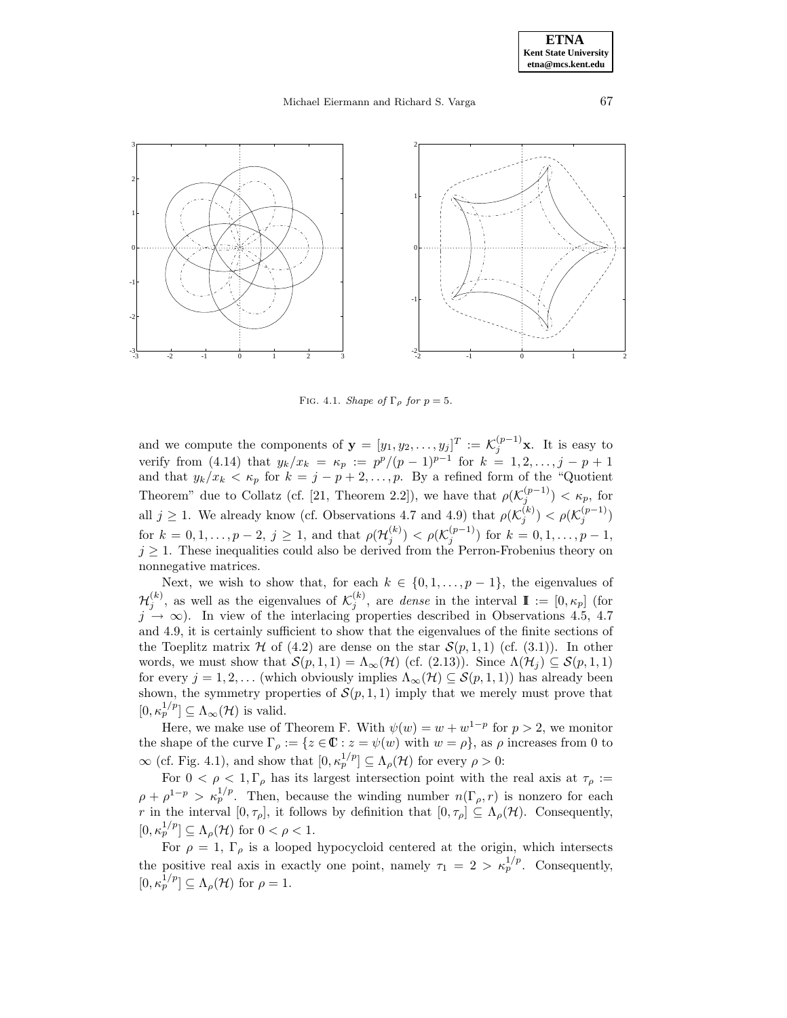## Michael Eiermann and Richard S. Varga 67



FIG. 4.1. Shape of  $\Gamma_{\rho}$  for  $p=5$ .

and we compute the components of  $\mathbf{y} = [y_1, y_2, \dots, y_j]^T := \mathcal{K}_j^{(p-1)}\mathbf{x}$ . It is easy to verify from (4.14) that  $y_k/x_k = \kappa_p := p^p/(p-1)^{p-1}$  for  $k = 1, 2, ..., j - p + 1$ and that  $y_k/x_k < \kappa_p$  for  $k = j - p + 2, \ldots, p$ . By a refined form of the "Quotient" Theorem" due to Collatz (cf. [21, Theorem 2.2]), we have that  $\rho(\mathcal{K}_j^{(p-1)}) < \kappa_p$ , for all  $j \geq 1$ . We already know (cf. Observations 4.7 and 4.9) that  $\rho(\mathcal{K}_j^{(k)}) < \rho(\mathcal{K}_j^{(p-1)})$ for  $k = 0, 1, \ldots, p - 2, j \ge 1$ , and that  $\rho(\mathcal{H}_j^{(k)}) < \rho(\mathcal{K}_j^{(p-1)})$  for  $k = 0, 1, \ldots, p - 1$ ,  $j \geq 1$ . These inequalities could also be derived from the Perron-Frobenius theory on nonnegative matrices.

Next, we wish to show that, for each  $k \in \{0, 1, \ldots, p-1\}$ , the eigenvalues of  $\mathcal{H}_j^{(k)}$ , as well as the eigenvalues of  $\mathcal{K}_j^{(k)}$ , are *dense* in the interval  $\mathbb{I} := [0, \kappa_p]$  (for  $j \rightarrow \infty$ ). In view of the interlacing properties described in Observations 4.5, 4.7 and 4.9, it is certainly sufficient to show that the eigenvalues of the finite sections of the Toeplitz matrix H of (4.2) are dense on the star  $S(p, 1, 1)$  (cf. (3.1)). In other words, we must show that  $\mathcal{S}(p,1,1) = \Lambda_{\infty}(\mathcal{H})$  (cf. (2.13)). Since  $\Lambda(\mathcal{H}_j) \subseteq \mathcal{S}(p,1,1)$ for every  $j = 1, 2, \ldots$  (which obviously implies  $\Lambda_{\infty}(\mathcal{H}) \subseteq \mathcal{S}(p, 1, 1)$ ) has already been shown, the symmetry properties of  $\mathcal{S}(p,1,1)$  imply that we merely must prove that  $[0, \kappa_p^{1/p}] \subseteq \Lambda_\infty(\mathcal{H})$  is valid.

Here, we make use of Theorem F. With  $\psi(w) = w + w^{1-p}$  for  $p > 2$ , we monitor the shape of the curve  $\Gamma_{\rho} := \{z \in \mathbb{C} : z = \psi(w) \text{ with } w = \rho\}$ , as  $\rho$  increases from 0 to  $\infty$  (cf. Fig. 4.1), and show that  $[0, \kappa_p^{1/p}] \subseteq \Lambda_\rho(\mathcal{H})$  for every  $\rho > 0$ :

For  $0 < \rho < 1, \Gamma_{\rho}$  has its largest intersection point with the real axis at  $\tau_{\rho}$ :=  $\rho + \rho^{1-p} > \kappa_p^{1/p}$ . Then, because the winding number  $n(\Gamma_\rho, r)$  is nonzero for each r in the interval  $[0, \tau_{\rho}]$ , it follows by definition that  $[0, \tau_{\rho}] \subseteq \Lambda_{\rho}(\mathcal{H})$ . Consequently,  $[0, \kappa_p^{1/p}] \subseteq \Lambda_\rho(\mathcal{H})$  for  $0 < \rho < 1$ .

For  $\rho = 1$ ,  $\Gamma_{\rho}$  is a looped hypocycloid centered at the origin, which intersects the positive real axis in exactly one point, namely  $\tau_1 = 2 > \kappa_p^{1/p}$ . Consequently,  $[0, \kappa_p^{1/p}] \subseteq \Lambda_\rho(\mathcal{H})$  for  $\rho = 1$ .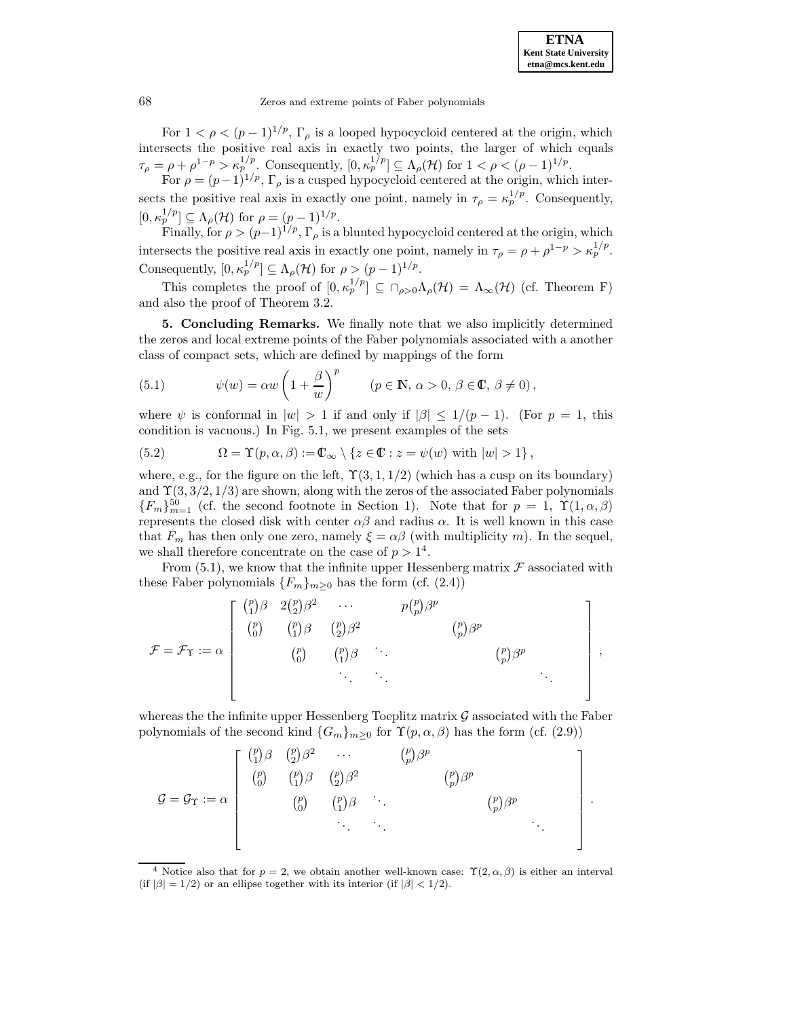For  $1 < \rho < (p-1)^{1/p}$ ,  $\Gamma_\rho$  is a looped hypocycloid centered at the origin, which intersects the positive real axis in exactly two points, the larger of which equals  $\tau_{\rho} = \rho + \rho^{1-p} > \kappa_p^{1/p}$ . Consequently,  $[0, \kappa_p^{1/p}] \subseteq \Lambda_{\rho}(\mathcal{H})$  for  $1 < \rho < (\rho - 1)^{1/p}$ .

For  $\rho = (p-1)^{1/p}$ ,  $\Gamma_{\rho}$  is a cusped hypocycloid centered at the origin, which intersects the positive real axis in exactly one point, namely in  $\tau_{\rho} = \kappa_p^{1/p}$ . Consequently,  $[0, \kappa_p^{1/p}] \subseteq \Lambda_\rho(\mathcal{H})$  for  $\rho = (p-1)^{1/p}$ .

Finally, for  $\rho > (p-1)^{1/p}$ ,  $\Gamma_{\rho}$  is a blunted hypocycloid centered at the origin, which intersects the positive real axis in exactly one point, namely in  $\tau_{\rho} = \rho + \rho^{1-p} > \kappa_p^{1/p}$ . Consequently,  $[0, \kappa_p^{1/p}] \subseteq \Lambda_\rho(\mathcal{H})$  for  $\rho > (p-1)^{1/p}$ .

This completes the proof of  $[0, \kappa_p^{1/p}] \subseteq \cap_{\rho>0} \Lambda_\rho(\mathcal{H}) = \Lambda_\infty(\mathcal{H})$  (cf. Theorem F) and also the proof of Theorem 3.2.

**5. Concluding Remarks.** We finally note that we also implicitly determined the zeros and local extreme points of the Faber polynomials associated with a another class of compact sets, which are defined by mappings of the form

(5.1) 
$$
\psi(w) = \alpha w \left( 1 + \frac{\beta}{w} \right)^p \qquad (p \in \mathbb{N}, \, \alpha > 0, \, \beta \in \mathbb{C}, \, \beta \neq 0),
$$

where  $\psi$  is conformal in  $|w| > 1$  if and only if  $|\beta| \leq 1/(p-1)$ . (For  $p = 1$ , this condition is vacuous.) In Fig. 5.1, we present examples of the sets

(5.2) 
$$
\Omega = \Upsilon(p, \alpha, \beta) := \mathbb{C}_{\infty} \setminus \{z \in \mathbb{C} : z = \psi(w) \text{ with } |w| > 1\},
$$

where, e.g., for the figure on the left,  $\Upsilon(3,1,1/2)$  (which has a cusp on its boundary) and  $\Upsilon(3, 3/2, 1/3)$  are shown, along with the zeros of the associated Faber polynomials  ${F_m}_{m=1}^{50}$  (cf. the second footnote in Section 1). Note that for  $p = 1, \Upsilon(1, \alpha, \beta)$ represents the closed disk with center  $\alpha\beta$  and radius  $\alpha$ . It is well known in this case that  $F_m$  has then only one zero, namely  $\xi = \alpha \beta$  (with multiplicity m). In the sequel, we shall therefore concentrate on the case of  $p > 1<sup>4</sup>$ .

From  $(5.1)$ , we know that the infinite upper Hessenberg matrix  $\mathcal F$  associated with these Faber polynomials  ${F_m}_{m>0}$  has the form (cf. (2.4))

F = F<sup>Υ</sup> := α p 1 β 2 p 2 β<sup>2</sup> ··· p p p βp p 0 <sup>p</sup> 1 β <sup>p</sup> 2 β<sup>2</sup> <sup>p</sup> p βp p 0 <sup>p</sup> 1 <sup>β</sup> ... <sup>p</sup> p βp ... ... ... ,

whereas the the infinite upper Hessenberg Toeplitz matrix  $\mathcal G$  associated with the Faber polynomials of the second kind  ${G_m}_{m>0}$  for  $\Upsilon(p, \alpha, \beta)$  has the form (cf. (2.9))

$$
\mathcal{G} = \mathcal{G}_{\Upsilon} := \alpha \begin{bmatrix} {p \choose 1} \beta & {p \choose 2} \beta^2 & \cdots & {p \choose p} \beta^p \\ {p \choose 0} & {p \choose 1} \beta & {p \choose 2} \beta^2 & & {p \choose p} \beta^p \\ & & {p \choose 0} & {p \choose 1} \beta & \cdots & & {p \choose p} \beta^p \\ & & & \ddots & \ddots & & \\ & & & & \ddots & & \\ & & & & & \ddots & \\ & & & & & & \ddots \end{bmatrix}.
$$

<sup>&</sup>lt;sup>4</sup> Notice also that for  $p = 2$ , we obtain another well-known case:  $\Upsilon(2, \alpha, \beta)$  is either an interval (if  $|\beta| = 1/2$ ) or an ellipse together with its interior (if  $|\beta| < 1/2$ ).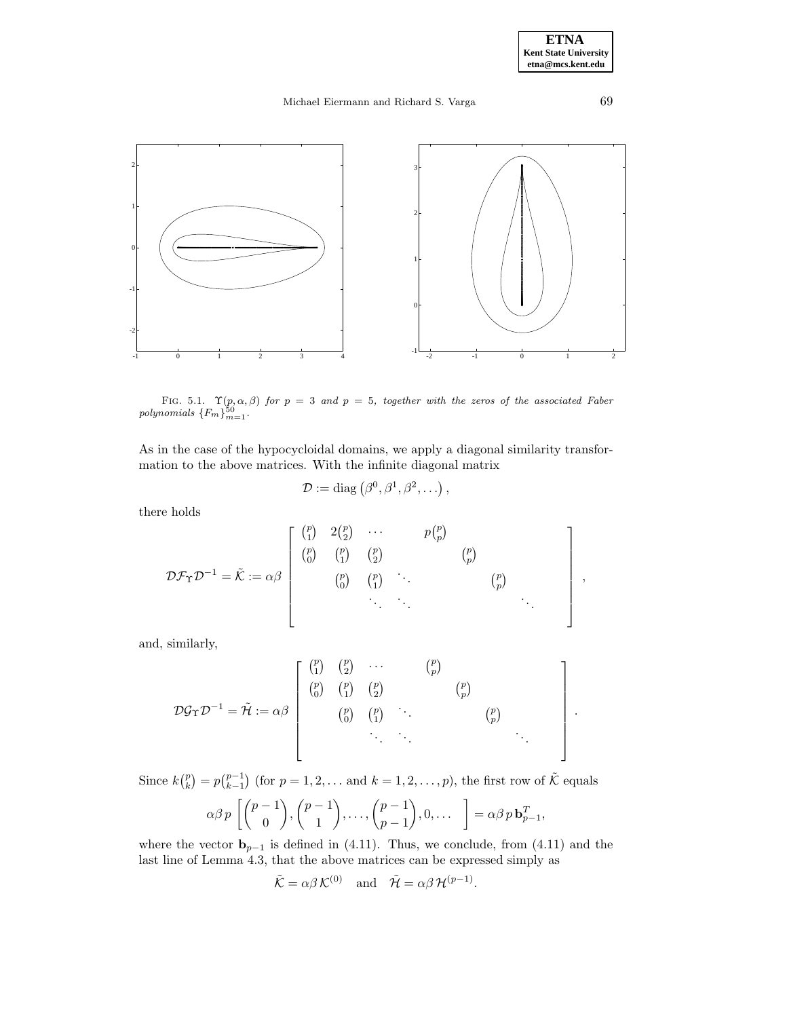.

# Michael Eiermann and Richard S. Varga 69



0



FIG. 5.1.  $\Upsilon(p, \alpha, \beta)$  for  $p = 3$  and  $p = 5$ , together with the zeros of the associated Faber polynomials  $\{F_m\}_{m=1}^{50}$ .

As in the case of the hypocycloidal domains, we apply a diagonal similarity transformation to the above matrices. With the infinite diagonal matrix

$$
\mathcal{D} := \mathrm{diag}\left(\beta^0, \beta^1, \beta^2, \ldots\right),\,
$$

there holds

-1

0

1

2

$$
\mathcal{D} \mathcal{F}_{\Upsilon} \mathcal{D}^{-1} = \tilde{\mathcal{K}} := \alpha \beta \begin{bmatrix} {p \choose 1} & 2 {p \choose 2} & \cdots & p {p \choose p} \\ {p \choose 0} & {p \choose 1} & {p \choose 2} & {p \choose p} \\ & {p \choose 0} & {p \choose 1} & \ddots & {p \choose p} \\ & & \ddots & \ddots & & \ddots \end{bmatrix},
$$

and, similarly,

$$
\mathcal{D}\mathcal{G}_{\Upsilon}\mathcal{D}^{-1} = \tilde{\mathcal{H}} := \alpha \beta \begin{bmatrix} {p \choose 1} & {p \choose 2} & \cdots & {p \choose p} \\ {p \choose 0} & {p \choose 1} & {p \choose 2} & {p \choose p} \\ & {p \choose 0} & {p \choose 1} & & {p \choose p} \\ & & \ddots & \ddots & \ddots \end{bmatrix}
$$

Since  $k\binom{p}{k} = p\binom{p-1}{k-1}$  (for  $p = 1, 2, \ldots$  and  $k = 1, 2, \ldots, p$ ), the first row of  $\tilde{\mathcal{K}}$  equals

$$
\alpha \beta p \left[ \binom{p-1}{0}, \binom{p-1}{1}, \ldots, \binom{p-1}{p-1}, 0, \ldots \right] = \alpha \beta p \mathbf{b}_{p-1}^T,
$$

where the vector  $\mathbf{b}_{p-1}$  is defined in (4.11). Thus, we conclude, from (4.11) and the last line of Lemma 4.3, that the above matrices can be expressed simply as

$$
\tilde{\mathcal{K}} = \alpha \beta \mathcal{K}^{(0)}
$$
 and  $\tilde{\mathcal{H}} = \alpha \beta \mathcal{H}^{(p-1)}$ .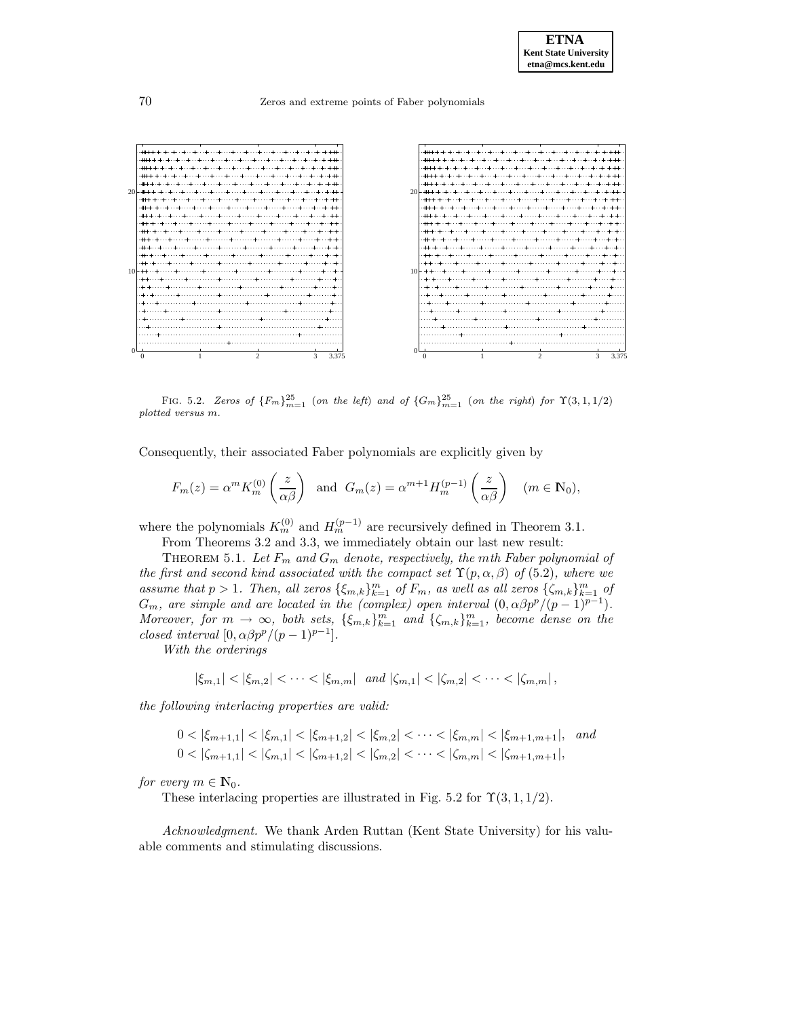

FIG. 5.2. Zeros of  ${F_m}_{m=1}^{25}$  (on the left) and of  ${G_m}_{m=1}^{25}$  (on the right) for  $\Upsilon(3,1,1/2)$ plotted versus m.

Consequently, their associated Faber polynomials are explicitly given by

$$
F_m(z) = \alpha^m K_m^{(0)}\left(\frac{z}{\alpha \beta}\right) \text{ and } G_m(z) = \alpha^{m+1} H_m^{(p-1)}\left(\frac{z}{\alpha \beta}\right) \quad (m \in \mathbb{N}_0),
$$

where the polynomials  $K_m^{(0)}$  and  $H_m^{(p-1)}$  are recursively defined in Theorem 3.1.

From Theorems 3.2 and 3.3, we immediately obtain our last new result:

THEOREM 5.1. Let  $F_m$  and  $G_m$  denote, respectively, the mth Faber polynomial of the first and second kind associated with the compact set  $\Upsilon(p, \alpha, \beta)$  of (5.2), where we assume that  $p > 1$ . Then, all zeros  $\{\xi_{m,k}\}_{k=1}^m$  of  $F_m$ , as well as all zeros  $\{\zeta_{m,k}\}_{k=1}^m$  of  $G_m$ , are simple and are located in the (complex) open interval  $(0, \alpha\beta p^p/(p-1)^{p-1})$ . Moreover, for  $m \to \infty$ , both sets,  $\{\xi_{m,k}\}_{k=1}^m$  and  $\{\zeta_{m,k}\}_{k=1}^m$ , become dense on the closed interval  $[0, \alpha \beta p^p/(p-1)^{p-1}].$ 

With the orderings

 $|\xi_{m,1}| < |\xi_{m,2}| < \cdots < |\xi_{m,m}|$  and  $|\zeta_{m,1}| < |\zeta_{m,2}| < \cdots < |\zeta_{m,m}|$ ,

the following interlacing properties are valid:

$$
0 < |\xi_{m+1,1}| < |\xi_{m,1}| < |\xi_{m+1,2}| < |\xi_{m,2}| < \cdots < |\xi_{m,m}| < |\xi_{m+1,m+1}|, \quad \text{and}
$$
\n
$$
0 < |\zeta_{m+1,1}| < |\zeta_{m,1}| < |\zeta_{m+1,2}| < |\zeta_{m,2}| < \cdots < |\zeta_{m,m}| < |\zeta_{m+1,m+1}|,
$$

for every  $m \in \mathbb{N}_0$ .

These interlacing properties are illustrated in Fig. 5.2 for  $\Upsilon(3,1,1/2)$ .

Acknowledgment. We thank Arden Ruttan (Kent State University) for his valuable comments and stimulating discussions.